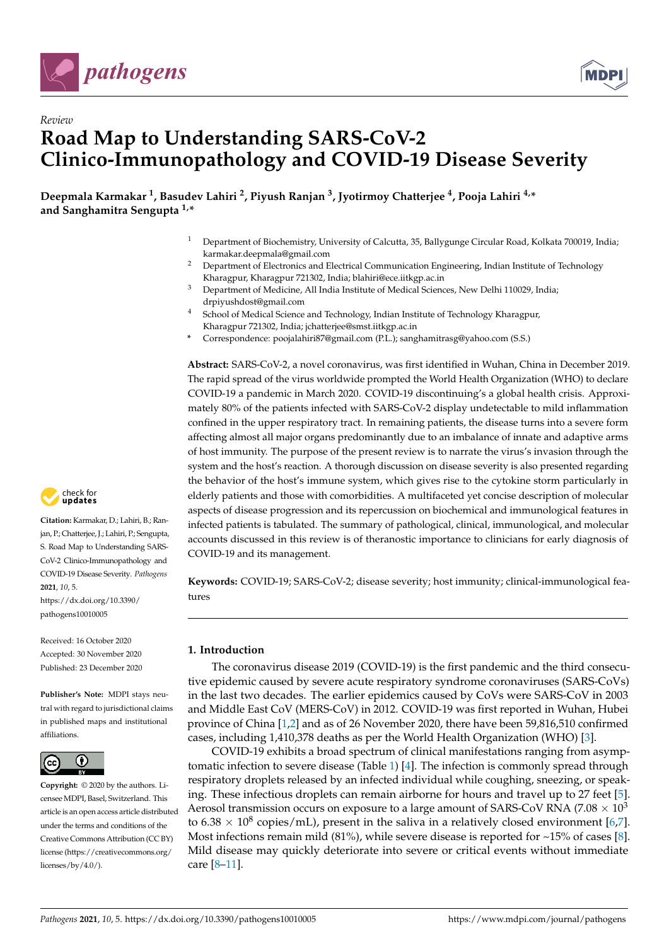



# *Review* **Road Map to Understanding SARS-CoV-2 Clinico-Immunopathology and COVID-19 Disease Severity**

**Deepmala Karmakar <sup>1</sup> , Basudev Lahiri <sup>2</sup> , Piyush Ranjan <sup>3</sup> , Jyotirmoy Chatterjee <sup>4</sup> , Pooja Lahiri 4,\* and Sanghamitra Sengupta 1,\***

- <sup>1</sup> Department of Biochemistry, University of Calcutta, 35, Ballygunge Circular Road, Kolkata 700019, India; karmakar.deepmala@gmail.com
- <sup>2</sup> Department of Electronics and Electrical Communication Engineering, Indian Institute of Technology Kharagpur, Kharagpur 721302, India; blahiri@ece.iitkgp.ac.in
- <sup>3</sup> Department of Medicine, All India Institute of Medical Sciences, New Delhi 110029, India; drpiyushdost@gmail.com
- <sup>4</sup> School of Medical Science and Technology, Indian Institute of Technology Kharagpur, Kharagpur 721302, India; jchatterjee@smst.iitkgp.ac.in
- **\*** Correspondence: poojalahiri87@gmail.com (P.L.); sanghamitrasg@yahoo.com (S.S.)

**Abstract:** SARS-CoV-2, a novel coronavirus, was first identified in Wuhan, China in December 2019. The rapid spread of the virus worldwide prompted the World Health Organization (WHO) to declare COVID-19 a pandemic in March 2020. COVID-19 discontinuing's a global health crisis. Approximately 80% of the patients infected with SARS-CoV-2 display undetectable to mild inflammation confined in the upper respiratory tract. In remaining patients, the disease turns into a severe form affecting almost all major organs predominantly due to an imbalance of innate and adaptive arms of host immunity. The purpose of the present review is to narrate the virus's invasion through the system and the host's reaction. A thorough discussion on disease severity is also presented regarding the behavior of the host's immune system, which gives rise to the cytokine storm particularly in elderly patients and those with comorbidities. A multifaceted yet concise description of molecular aspects of disease progression and its repercussion on biochemical and immunological features in infected patients is tabulated. The summary of pathological, clinical, immunological, and molecular accounts discussed in this review is of theranostic importance to clinicians for early diagnosis of COVID-19 and its management.

**Keywords:** COVID-19; SARS-CoV-2; disease severity; host immunity; clinical-immunological features

### **1. Introduction**

The coronavirus disease 2019 (COVID-19) is the first pandemic and the third consecutive epidemic caused by severe acute respiratory syndrome coronaviruses (SARS-CoVs) in the last two decades. The earlier epidemics caused by CoVs were SARS-CoV in 2003 and Middle East CoV (MERS-CoV) in 2012. COVID-19 was first reported in Wuhan, Hubei province of China [1,2] and as of 26 November 2020, there have been 59,816,510 confirmed cases, including 1,410,378 deaths as per the World Health Organization (WHO) [3].

COVID-19 exhibits a broad spectrum of clinical manifestations ranging from asymptomatic infection to severe disease (Table 1) [4]. The infection is commonly spread through respiratory droplets released by an infected individual while coughing, sneezing, or speaking. These infectious droplets can remain airborne for hours and travel up to 27 feet [5]. Aerosol transmission occurs on exposure to a large amount of SARS-CoV RNA (7.08  $\times$  10<sup>3</sup>) to 6.38  $\times$  10<sup>8</sup> copies/mL), present in the saliva in a relatively closed environment [6,7]. Most infections remain mild  $(81%)$ , while severe disease is reported for  $\sim$ 15% of cases [8]. Mild disease may quickly deteriorate into severe or critical events without immediate care [8–11].



**Citation:** Karmakar, D.; Lahiri, B.; Ranjan, P.; Chatterjee, J.; Lahiri, P.; Sengupta, S. Road Map to Understanding SARS-CoV-2 Clinico-Immunopathology and COVID-19 Disease Severity. *Pathogens* **2021**, *10*, 5. https://dx.doi.org/10.3390/ pathogens10010005

Received: 16 October 2020 Accepted: 30 November 2020 Published: 23 December 2020

**Publisher's Note:** MDPI stays neutral with regard to jurisdictional claims in published maps and institutional affiliations.



**Copyright:** © 2020 by the authors. Licensee MDPI, Basel, Switzerland. This article is an open access article distributed under the terms and conditions of the Creative Commons Attribution (CC BY) license (https://creativecommons.org/ licenses/by/4.0/).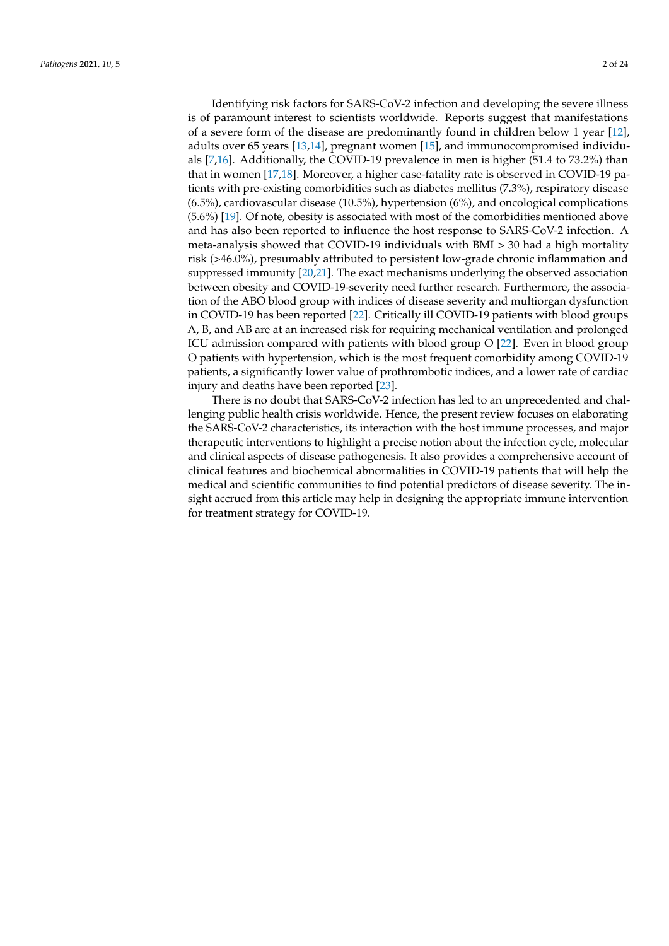Identifying risk factors for SARS-CoV-2 infection and developing the severe illness is of paramount interest to scientists worldwide. Reports suggest that manifestations of a severe form of the disease are predominantly found in children below 1 year [12], adults over 65 years [13,14], pregnant women [15], and immunocompromised individuals [7,16]. Additionally, the COVID-19 prevalence in men is higher (51.4 to 73.2%) than that in women [17,18]. Moreover, a higher case-fatality rate is observed in COVID-19 patients with pre-existing comorbidities such as diabetes mellitus (7.3%), respiratory disease (6.5%), cardiovascular disease (10.5%), hypertension (6%), and oncological complications (5.6%) [19]. Of note, obesity is associated with most of the comorbidities mentioned above and has also been reported to influence the host response to SARS-CoV-2 infection. A meta-analysis showed that COVID-19 individuals with BMI > 30 had a high mortality risk (>46.0%), presumably attributed to persistent low-grade chronic inflammation and suppressed immunity [20,21]. The exact mechanisms underlying the observed association between obesity and COVID-19-severity need further research. Furthermore, the association of the ABO blood group with indices of disease severity and multiorgan dysfunction in COVID-19 has been reported [22]. Critically ill COVID-19 patients with blood groups A, B, and AB are at an increased risk for requiring mechanical ventilation and prolonged ICU admission compared with patients with blood group O [22]. Even in blood group O patients with hypertension, which is the most frequent comorbidity among COVID-19 patients, a significantly lower value of prothrombotic indices, and a lower rate of cardiac injury and deaths have been reported [23].

There is no doubt that SARS-CoV-2 infection has led to an unprecedented and challenging public health crisis worldwide. Hence, the present review focuses on elaborating the SARS-CoV-2 characteristics, its interaction with the host immune processes, and major therapeutic interventions to highlight a precise notion about the infection cycle, molecular and clinical aspects of disease pathogenesis. It also provides a comprehensive account of clinical features and biochemical abnormalities in COVID-19 patients that will help the medical and scientific communities to find potential predictors of disease severity. The insight accrued from this article may help in designing the appropriate immune intervention for treatment strategy for COVID-19.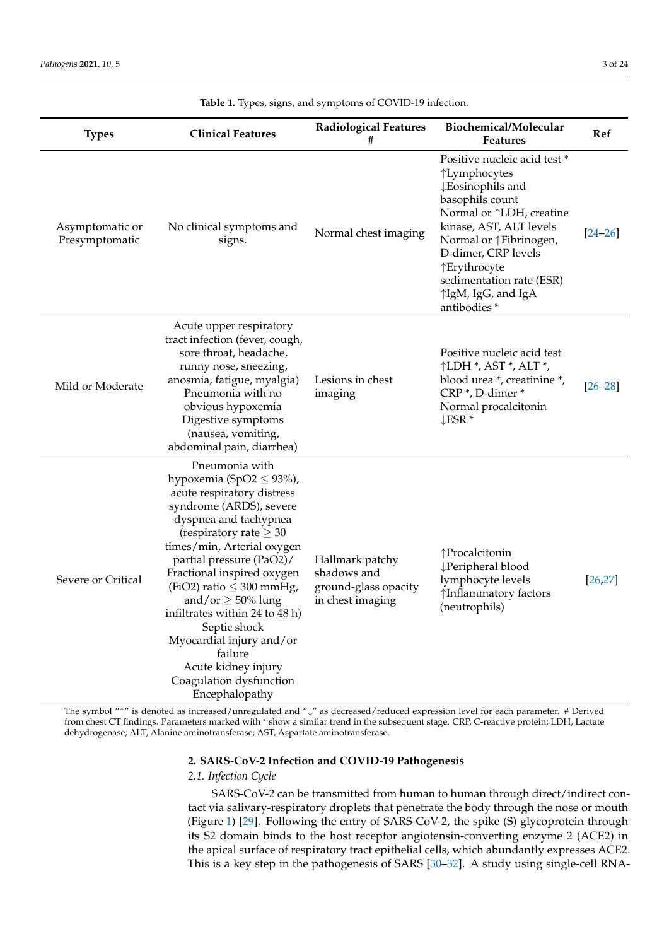| <b>Types</b>                      | <b>Clinical Features</b>                                                                                                                                                                                                                                                                                                                                                                                                                                                        | <b>Radiological Features</b><br>#                                          | Biochemical/Molecular<br><b>Features</b>                                                                                                                                                                                                                                                        | Ref         |
|-----------------------------------|---------------------------------------------------------------------------------------------------------------------------------------------------------------------------------------------------------------------------------------------------------------------------------------------------------------------------------------------------------------------------------------------------------------------------------------------------------------------------------|----------------------------------------------------------------------------|-------------------------------------------------------------------------------------------------------------------------------------------------------------------------------------------------------------------------------------------------------------------------------------------------|-------------|
| Asymptomatic or<br>Presymptomatic | No clinical symptoms and<br>signs.                                                                                                                                                                                                                                                                                                                                                                                                                                              | Normal chest imaging                                                       | Positive nucleic acid test*<br>↑Lymphocytes<br>↓Eosinophils and<br>basophils count<br>Normal or $\uparrow$ LDH, creatine<br>kinase, AST, ALT levels<br>Normal or $\uparrow$ Fibrinogen,<br>D-dimer, CRP levels<br>↑Erythrocyte<br>sedimentation rate (ESR)<br>↑IgM, IgG, and IgA<br>antibodies* | $[24 - 26]$ |
| Mild or Moderate                  | Acute upper respiratory<br>tract infection (fever, cough,<br>sore throat, headache,<br>runny nose, sneezing,<br>anosmia, fatigue, myalgia)<br>Pneumonia with no<br>obvious hypoxemia<br>Digestive symptoms<br>(nausea, vomiting,<br>abdominal pain, diarrhea)                                                                                                                                                                                                                   | Lesions in chest<br>imaging                                                | Positive nucleic acid test<br><i><b>†LDH *, AST *, ALT *,</b></i><br>blood urea *, creatinine *,<br>CRP <sup>*</sup> , D-dimer <sup>*</sup><br>Normal procalcitonin<br>$\downarrow$ ESR *                                                                                                       | $[26 - 28]$ |
| Severe or Critical                | Pneumonia with<br>hypoxemia (SpO2 $\leq$ 93%),<br>acute respiratory distress<br>syndrome (ARDS), severe<br>dyspnea and tachypnea<br>(respiratory rate $\geq 30$<br>times/min, Arterial oxygen<br>partial pressure (PaO2)/<br>Fractional inspired oxygen<br>(FiO2) ratio $\leq$ 300 mmHg,<br>and/or $\geq$ 50% lung<br>infiltrates within 24 to 48 h)<br>Septic shock<br>Myocardial injury and/or<br>failure<br>Acute kidney injury<br>Coagulation dysfunction<br>Encephalopathy | Hallmark patchy<br>shadows and<br>ground-glass opacity<br>in chest imaging | ↑Procalcitonin<br>Peripheral blood<br>lymphocyte levels<br>↑Inflammatory factors<br>(neutrophils)                                                                                                                                                                                               | [26, 27]    |

**Table 1.** Types, signs, and symptoms of COVID-19 infection.

The symbol "↑" is denoted as increased/unregulated and "↓" as decreased/reduced expression level for each parameter. # Derived from chest CT findings. Parameters marked with \* show a similar trend in the subsequent stage. CRP, C-reactive protein; LDH, Lactate dehydrogenase; ALT, Alanine aminotransferase; AST, Aspartate aminotransferase.

#### **2. SARS-CoV-2 Infection and COVID-19 Pathogenesis**

#### *2.1. Infection Cycle*

SARS-CoV-2 can be transmitted from human to human through direct/indirect contact via salivary-respiratory droplets that penetrate the body through the nose or mouth (Figure 1) [29]. Following the entry of SARS-CoV-2, the spike (S) glycoprotein through its S2 domain binds to the host receptor angiotensin-converting enzyme 2 (ACE2) in the apical surface of respiratory tract epithelial cells, which abundantly expresses ACE2. This is a key step in the pathogenesis of SARS [30–32]. A study using single-cell RNA-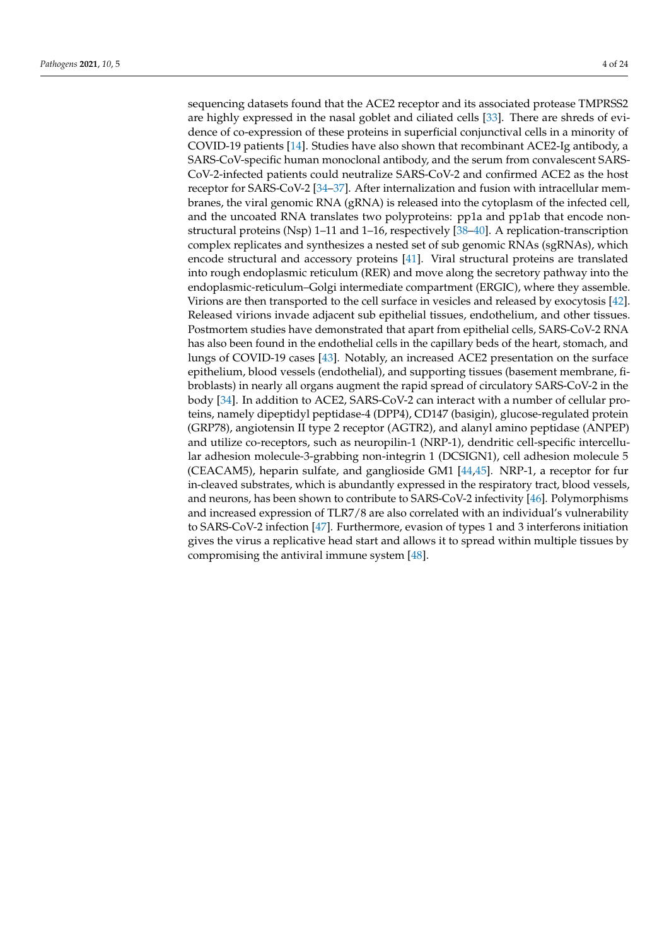sequencing datasets found that the ACE2 receptor and its associated protease TMPRSS2 are highly expressed in the nasal goblet and ciliated cells [33]. There are shreds of evidence of co-expression of these proteins in superficial conjunctival cells in a minority of COVID-19 patients [14]. Studies have also shown that recombinant ACE2-Ig antibody, a SARS-CoV-specific human monoclonal antibody, and the serum from convalescent SARS-CoV-2-infected patients could neutralize SARS-CoV-2 and confirmed ACE2 as the host receptor for SARS-CoV-2 [34–37]. After internalization and fusion with intracellular membranes, the viral genomic RNA (gRNA) is released into the cytoplasm of the infected cell, and the uncoated RNA translates two polyproteins: pp1a and pp1ab that encode nonstructural proteins (Nsp) 1–11 and 1–16, respectively [38–40]. A replication-transcription complex replicates and synthesizes a nested set of sub genomic RNAs (sgRNAs), which encode structural and accessory proteins [41]. Viral structural proteins are translated into rough endoplasmic reticulum (RER) and move along the secretory pathway into the endoplasmic-reticulum–Golgi intermediate compartment (ERGIC), where they assemble. Virions are then transported to the cell surface in vesicles and released by exocytosis [42]. Released virions invade adjacent sub epithelial tissues, endothelium, and other tissues. Postmortem studies have demonstrated that apart from epithelial cells, SARS-CoV-2 RNA has also been found in the endothelial cells in the capillary beds of the heart, stomach, and lungs of COVID-19 cases [43]. Notably, an increased ACE2 presentation on the surface epithelium, blood vessels (endothelial), and supporting tissues (basement membrane, fibroblasts) in nearly all organs augment the rapid spread of circulatory SARS-CoV-2 in the body [34]. In addition to ACE2, SARS-CoV-2 can interact with a number of cellular proteins, namely dipeptidyl peptidase-4 (DPP4), CD147 (basigin), glucose-regulated protein (GRP78), angiotensin II type 2 receptor (AGTR2), and alanyl amino peptidase (ANPEP) and utilize co-receptors, such as neuropilin-1 (NRP-1), dendritic cell-specific intercellular adhesion molecule-3-grabbing non-integrin 1 (DCSIGN1), cell adhesion molecule 5 (CEACAM5), heparin sulfate, and ganglioside GM1 [44,45]. NRP-1, a receptor for fur in-cleaved substrates, which is abundantly expressed in the respiratory tract, blood vessels, and neurons, has been shown to contribute to SARS-CoV-2 infectivity [46]. Polymorphisms and increased expression of TLR7/8 are also correlated with an individual's vulnerability to SARS-CoV-2 infection [47]. Furthermore, evasion of types 1 and 3 interferons initiation gives the virus a replicative head start and allows it to spread within multiple tissues by compromising the antiviral immune system [48].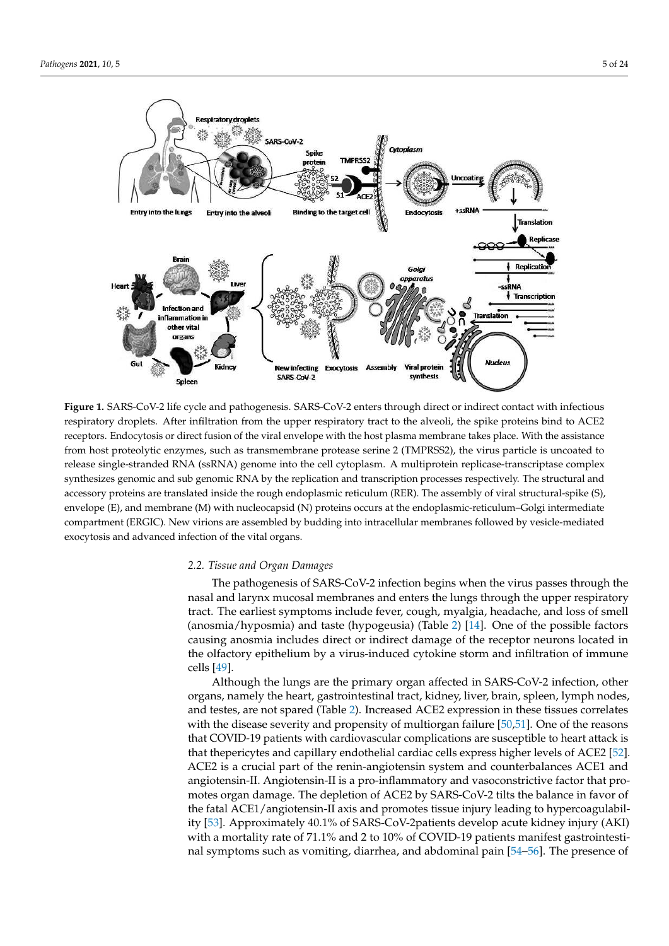

with  $\alpha$  multiple tissues by compromising the anti-viral immune system  $\alpha$  and  $\alpha$ 

Figure 1. SARS-CoV-2 life cycle and pathogenesis. SARS-CoV-2 enters through direct or indirect **Figure 1.** SARS-CoV-2 life cycle and pathogenesis. SARS-CoV-2 enters through direct or indirect contact with infectious respiratory droplets. After infiltration from the upper respiratory tract to the alveoli, the spike proteins bind to ACE2 receptors. Endocytosis or direct fusion of the viral envelope with the host plasma membrane takes place. With the assistance from host proteolytic enzymes, such as transmembrane protease serine 2 (TMPRSS2), the virus particle is uncoated to release single-stranded RNA (ssRNA) genome into the cell cytoplasm. A multiprotein replicase-transcriptase complex synthesizes genomic and sub genomic RNA by the replication and transcription processes respectively. The structural and accessory proteins are translated inside the rough endoplasmic reticulum (RER). The assembly of viral structural-spike (S), envelope (E), and membrane (M) with nucleocapsid (N) proteins occurs at the endoplasmic-reticulum–Golgi intermediate compartment (ERGIC). New virions are assembled by budding into intracellular membranes followed by vesicle-mediated  $\frac{1}{2}$  exocytosis and advanced infection of the vital organs.  $\mathcal{L}_{\mathcal{B}}$ 

## mediated exocytosis and advanced infection of the vital organs. *2.2. Tissue and Organ Damages*

The pathogenesis of SARS-CoV-2 infection begins when the virus passes through the tract. The earliest symptoms include fever, cough, myalgia, headache, and loss of smell large and the callege by in-profits include to early collage, in-jungual, includedly, and tool of since a canonical proposition (anosmia) and taste (hypogeusia) (Table 2) [14]. One of the possible factors extractions, contains includes direct or indirect damage of the receptor neurons located in<br>causing anosmia includes direct or indirect damage of the receptor neurons located in  $\frac{1}{2}$   $\frac{1}{2}$   $\frac{1}{2}$   $\frac{1}{2}$ . One of the possible factors causing anosmia includes direct or  $\frac{1}{2}$   $\frac{1}{2}$   $\frac{1}{2}$   $\frac{1}{2}$   $\frac{1}{2}$   $\frac{1}{2}$   $\frac{1}{2}$   $\frac{1}{2}$   $\frac{1}{2}$   $\frac{1}{2}$   $\frac{1}{2}$   $\frac{1}{2$ the olfactory epithelium by a virus-induced cytokine storm and infiltration of immune<br>cells [40] nasal and larynx mucosal membranes and enters the lungs through the upper respiratory cells [49].

Although the lungs are the primary organ affected in SARS-CoV-2 infection, other organs, namely the heart, gastrointestinal tract, kidney, liver, brain, spleen, lymph nodes, and testes, are not spared (Table 2). Increased ACE2 expression in these tissues correlates with the disease severity and propensity of multiorgan failure [50,51]. One of the reasons that COVID-19 patients with cardiovascular complications are susceptible to heart attack is that thepericytes and capillary endothelial cardiac cells express higher levels of ACE2 [52]. ACE2 is a crucial part of the renin-angiotensin system and counterbalances ACE1 and angiotensin-II. Angiotensin-II is a pro-inflammatory and vasoconstrictive factor that promotes organ damage. The depletion of ACE2 by SARS-CoV-2 tilts the balance in favor of the fatal ACE1/angiotensin-II axis and promotes tissue injury leading to hypercoagulability [53]. Approximately 40.1% of SARS-CoV-2patients develop acute kidney injury (AKI) with a mortality rate of 71.1% and 2 to 10% of COVID-19 patients manifest gastrointestinal symptoms such as vomiting, diarrhea, and abdominal pain [54–56]. The presence of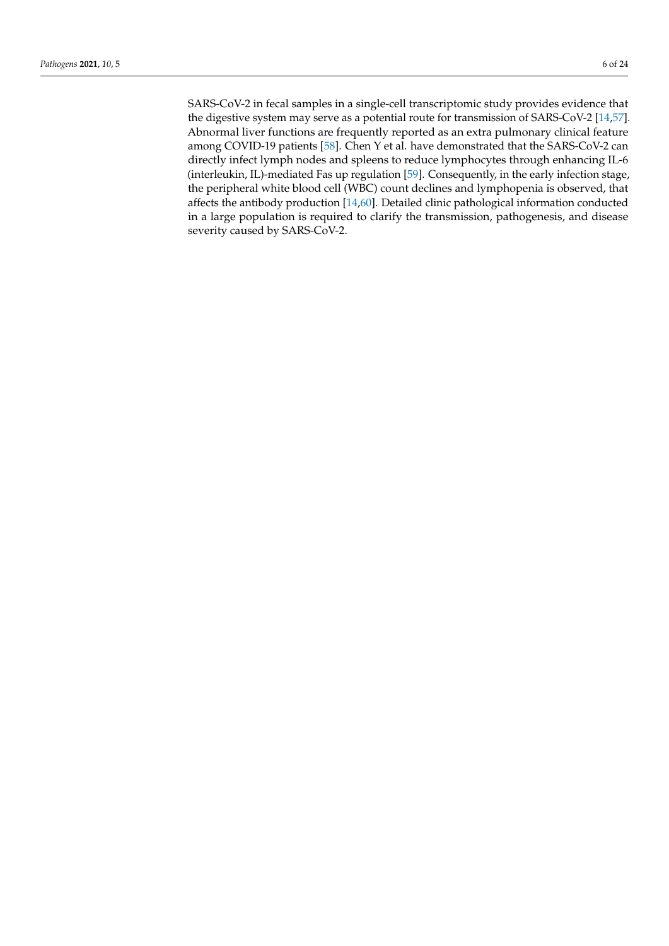SARS-CoV-2 in fecal samples in a single-cell transcriptomic study provides evidence that the digestive system may serve as a potential route for transmission of SARS-CoV-2 [14,57]. Abnormal liver functions are frequently reported as an extra pulmonary clinical feature among COVID-19 patients [58]. Chen Y et al. have demonstrated that the SARS-CoV-2 can directly infect lymph nodes and spleens to reduce lymphocytes through enhancing IL-6 (interleukin, IL)-mediated Fas up regulation [59]. Consequently, in the early infection stage, the peripheral white blood cell (WBC) count declines and lymphopenia is observed, that affects the antibody production [14,60]. Detailed clinic pathological information conducted in a large population is required to clarify the transmission, pathogenesis, and disease severity caused by SARS-CoV-2.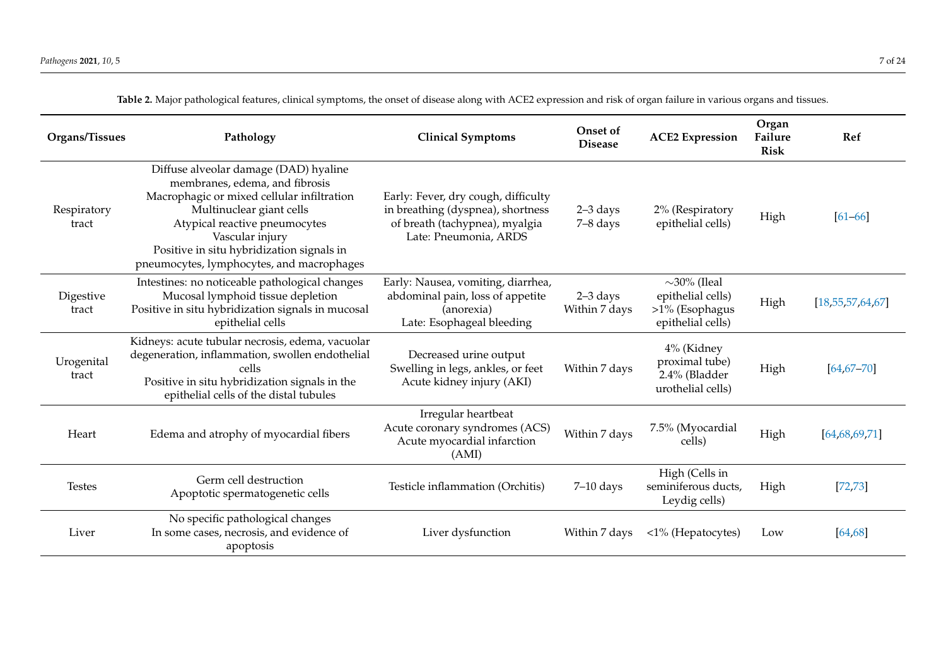| Organs/Tissues       | Pathology                                                                                                                                                                                                                                                                                       | <b>Clinical Symptoms</b>                                                                                                            | Onset of<br><b>Disease</b>  | <b>ACE2</b> Expression                                                        | Organ<br>Failure<br><b>Risk</b> | Ref                  |
|----------------------|-------------------------------------------------------------------------------------------------------------------------------------------------------------------------------------------------------------------------------------------------------------------------------------------------|-------------------------------------------------------------------------------------------------------------------------------------|-----------------------------|-------------------------------------------------------------------------------|---------------------------------|----------------------|
| Respiratory<br>tract | Diffuse alveolar damage (DAD) hyaline<br>membranes, edema, and fibrosis<br>Macrophagic or mixed cellular infiltration<br>Multinuclear giant cells<br>Atypical reactive pneumocytes<br>Vascular injury<br>Positive in situ hybridization signals in<br>pneumocytes, lymphocytes, and macrophages | Early: Fever, dry cough, difficulty<br>in breathing (dyspnea), shortness<br>of breath (tachypnea), myalgia<br>Late: Pneumonia, ARDS | $2-3$ days<br>7-8 days      | 2% (Respiratory<br>epithelial cells)                                          | High                            | $[61 - 66]$          |
| Digestive<br>tract   | Intestines: no noticeable pathological changes<br>Mucosal lymphoid tissue depletion<br>Positive in situ hybridization signals in mucosal<br>epithelial cells                                                                                                                                    | Early: Nausea, vomiting, diarrhea,<br>abdominal pain, loss of appetite<br>(anorexia)<br>Late: Esophageal bleeding                   | $2-3$ days<br>Within 7 days | $\sim$ 30% (Ileal<br>epithelial cells)<br>>1% (Esophagus<br>epithelial cells) | High                            | [18, 55, 57, 64, 67] |
| Urogenital<br>tract  | Kidneys: acute tubular necrosis, edema, vacuolar<br>degeneration, inflammation, swollen endothelial<br>cells<br>Positive in situ hybridization signals in the<br>epithelial cells of the distal tubules                                                                                         | Decreased urine output<br>Swelling in legs, ankles, or feet<br>Acute kidney injury (AKI)                                            | Within 7 days               | 4% (Kidney<br>proximal tube)<br>2.4% (Bladder<br>urothelial cells)            | High                            | $[64, 67 - 70]$      |
| Heart                | Edema and atrophy of myocardial fibers                                                                                                                                                                                                                                                          | Irregular heartbeat<br>Acute coronary syndromes (ACS)<br>Acute myocardial infarction<br>(AMI)                                       | Within 7 days               | 7.5% (Myocardial<br>cells)                                                    | High                            | [64, 68, 69, 71]     |
| <b>Testes</b>        | Germ cell destruction<br>Apoptotic spermatogenetic cells                                                                                                                                                                                                                                        | Testicle inflammation (Orchitis)                                                                                                    | $7-10$ days                 | High (Cells in<br>seminiferous ducts,<br>Leydig cells)                        | High                            | [72, 73]             |
| Liver                | No specific pathological changes<br>In some cases, necrosis, and evidence of<br>apoptosis                                                                                                                                                                                                       | Liver dysfunction                                                                                                                   | Within 7 days               | <1% (Hepatocytes)                                                             | Low                             | [64, 68]             |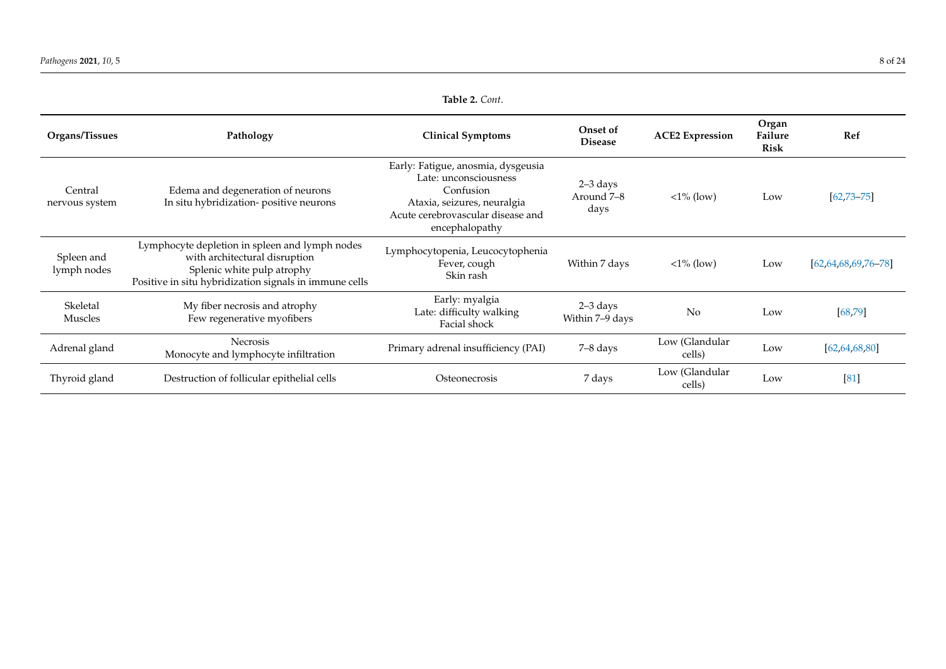| Table 2. Cont.            |                                                                                                                                                                         |                                                                                                                                                                |                                  |                          |                                 |                             |
|---------------------------|-------------------------------------------------------------------------------------------------------------------------------------------------------------------------|----------------------------------------------------------------------------------------------------------------------------------------------------------------|----------------------------------|--------------------------|---------------------------------|-----------------------------|
| Organs/Tissues            | Pathology                                                                                                                                                               | <b>Clinical Symptoms</b>                                                                                                                                       | Onset of<br><b>Disease</b>       | <b>ACE2</b> Expression   | Organ<br>Failure<br><b>Risk</b> | Ref                         |
| Central<br>nervous system | Edema and degeneration of neurons<br>In situ hybridization-positive neurons                                                                                             | Early: Fatigue, anosmia, dysgeusia<br>Late: unconsciousness<br>Confusion<br>Ataxia, seizures, neuralgia<br>Acute cerebrovascular disease and<br>encephalopathy | $2-3$ days<br>Around 7-8<br>days | $\langle 1\%$ (low)      | Low                             | $[62, 73 - 75]$             |
| Spleen and<br>lymph nodes | Lymphocyte depletion in spleen and lymph nodes<br>with architectural disruption<br>Splenic white pulp atrophy<br>Positive in situ hybridization signals in immune cells | Lymphocytopenia, Leucocytophenia<br>Fever, cough<br>Skin rash                                                                                                  | Within 7 days                    | $\langle 1\%$ (low)      | Low                             | $[62, 64, 68, 69, 76 - 78]$ |
| Skeletal<br>Muscles       | My fiber necrosis and atrophy<br>Few regenerative myofibers                                                                                                             | Early: myalgia<br>Late: difficulty walking<br>Facial shock                                                                                                     | $2-3$ days<br>Within 7-9 days    | No                       | Low                             | [68, 79]                    |
| Adrenal gland             | <b>Necrosis</b><br>Monocyte and lymphocyte infiltration                                                                                                                 | Primary adrenal insufficiency (PAI)                                                                                                                            | 7-8 days                         | Low (Glandular<br>cells) | Low                             | [62, 64, 68, 80]            |
| Thyroid gland             | Destruction of follicular epithelial cells                                                                                                                              | Osteonecrosis                                                                                                                                                  | 7 days                           | Low (Glandular<br>cells) | Low                             | [81]                        |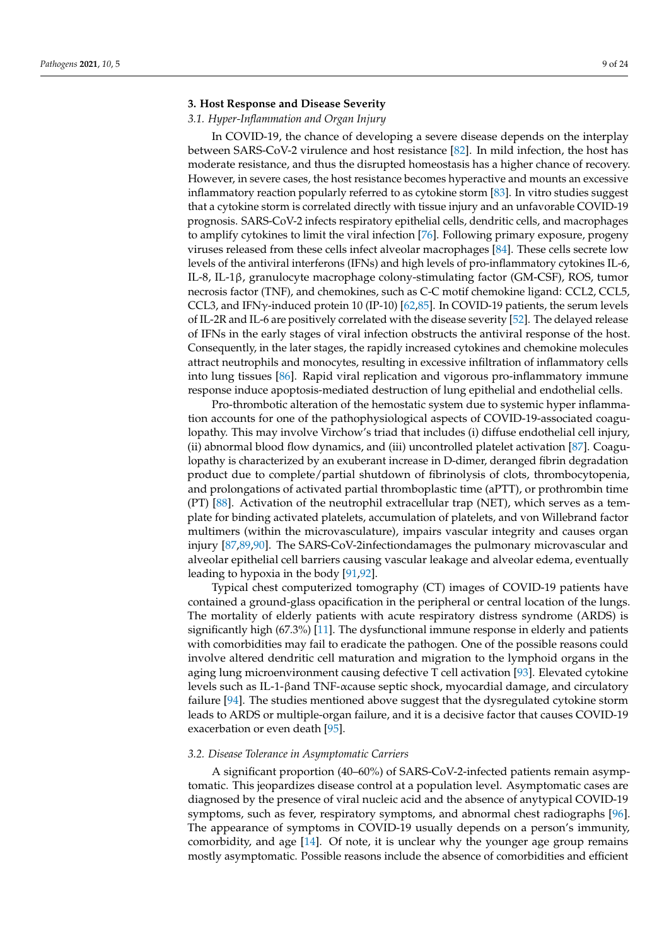#### **3. Host Response and Disease Severity**

#### *3.1. Hyper-Inflammation and Organ Injury*

In COVID-19, the chance of developing a severe disease depends on the interplay between SARS-CoV-2 virulence and host resistance [82]. In mild infection, the host has moderate resistance, and thus the disrupted homeostasis has a higher chance of recovery. However, in severe cases, the host resistance becomes hyperactive and mounts an excessive inflammatory reaction popularly referred to as cytokine storm [83]. In vitro studies suggest that a cytokine storm is correlated directly with tissue injury and an unfavorable COVID-19 prognosis. SARS-CoV-2 infects respiratory epithelial cells, dendritic cells, and macrophages to amplify cytokines to limit the viral infection [76]. Following primary exposure, progeny viruses released from these cells infect alveolar macrophages [84]. These cells secrete low levels of the antiviral interferons (IFNs) and high levels of pro-inflammatory cytokines IL-6, IL-8, IL-1β, granulocyte macrophage colony-stimulating factor (GM-CSF), ROS, tumor necrosis factor (TNF), and chemokines, such as C-C motif chemokine ligand: CCL2, CCL5, CCL3, and IFNγ-induced protein 10 (IP-10) [62,85]. In COVID-19 patients, the serum levels of IL-2R and IL-6 are positively correlated with the disease severity [52]. The delayed release of IFNs in the early stages of viral infection obstructs the antiviral response of the host. Consequently, in the later stages, the rapidly increased cytokines and chemokine molecules attract neutrophils and monocytes, resulting in excessive infiltration of inflammatory cells into lung tissues [86]. Rapid viral replication and vigorous pro-inflammatory immune response induce apoptosis-mediated destruction of lung epithelial and endothelial cells.

Pro-thrombotic alteration of the hemostatic system due to systemic hyper inflammation accounts for one of the pathophysiological aspects of COVID-19-associated coagulopathy. This may involve Virchow's triad that includes (i) diffuse endothelial cell injury, (ii) abnormal blood flow dynamics, and (iii) uncontrolled platelet activation [87]. Coagulopathy is characterized by an exuberant increase in D-dimer, deranged fibrin degradation product due to complete/partial shutdown of fibrinolysis of clots, thrombocytopenia, and prolongations of activated partial thromboplastic time (aPTT), or prothrombin time (PT) [88]. Activation of the neutrophil extracellular trap (NET), which serves as a template for binding activated platelets, accumulation of platelets, and von Willebrand factor multimers (within the microvasculature), impairs vascular integrity and causes organ injury [87,89,90]. The SARS-CoV-2infectiondamages the pulmonary microvascular and alveolar epithelial cell barriers causing vascular leakage and alveolar edema, eventually leading to hypoxia in the body [91,92].

Typical chest computerized tomography (CT) images of COVID-19 patients have contained a ground-glass opacification in the peripheral or central location of the lungs. The mortality of elderly patients with acute respiratory distress syndrome (ARDS) is significantly high (67.3%) [11]. The dysfunctional immune response in elderly and patients with comorbidities may fail to eradicate the pathogen. One of the possible reasons could involve altered dendritic cell maturation and migration to the lymphoid organs in the aging lung microenvironment causing defective T cell activation [93]. Elevated cytokine levels such as IL-1-βand TNF-αcause septic shock, myocardial damage, and circulatory failure [94]. The studies mentioned above suggest that the dysregulated cytokine storm leads to ARDS or multiple-organ failure, and it is a decisive factor that causes COVID-19 exacerbation or even death [95].

#### *3.2. Disease Tolerance in Asymptomatic Carriers*

A significant proportion (40–60%) of SARS-CoV-2-infected patients remain asymptomatic. This jeopardizes disease control at a population level. Asymptomatic cases are diagnosed by the presence of viral nucleic acid and the absence of anytypical COVID-19 symptoms, such as fever, respiratory symptoms, and abnormal chest radiographs [96]. The appearance of symptoms in COVID-19 usually depends on a person's immunity, comorbidity, and age [14]. Of note, it is unclear why the younger age group remains mostly asymptomatic. Possible reasons include the absence of comorbidities and efficient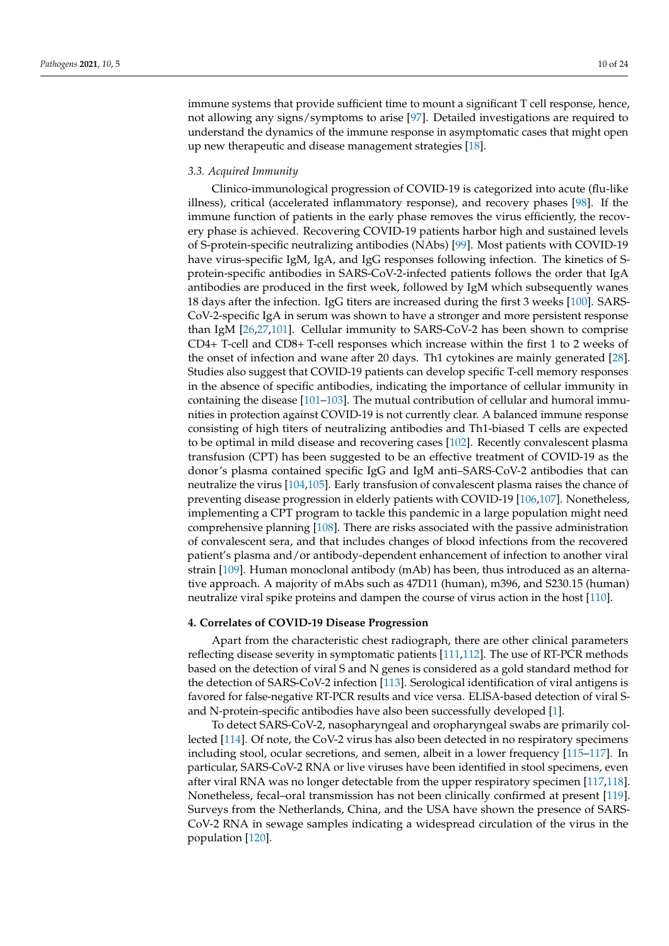immune systems that provide sufficient time to mount a significant T cell response, hence, not allowing any signs/symptoms to arise [97]. Detailed investigations are required to understand the dynamics of the immune response in asymptomatic cases that might open up new therapeutic and disease management strategies [18].

#### *3.3. Acquired Immunity*

Clinico-immunological progression of COVID-19 is categorized into acute (flu-like illness), critical (accelerated inflammatory response), and recovery phases [98]. If the immune function of patients in the early phase removes the virus efficiently, the recovery phase is achieved. Recovering COVID-19 patients harbor high and sustained levels of S-protein-specific neutralizing antibodies (NAbs) [99]. Most patients with COVID-19 have virus-specific IgM, IgA, and IgG responses following infection. The kinetics of Sprotein-specific antibodies in SARS-CoV-2-infected patients follows the order that IgA antibodies are produced in the first week, followed by IgM which subsequently wanes 18 days after the infection. IgG titers are increased during the first 3 weeks [100]. SARS-CoV-2-specific IgA in serum was shown to have a stronger and more persistent response than IgM [26,27,101]. Cellular immunity to SARS-CoV-2 has been shown to comprise CD4+ T-cell and CD8+ T-cell responses which increase within the first 1 to 2 weeks of the onset of infection and wane after 20 days. Th1 cytokines are mainly generated [28]. Studies also suggest that COVID-19 patients can develop specific T-cell memory responses in the absence of specific antibodies, indicating the importance of cellular immunity in containing the disease [101–103]. The mutual contribution of cellular and humoral immunities in protection against COVID-19 is not currently clear. A balanced immune response consisting of high titers of neutralizing antibodies and Th1-biased T cells are expected to be optimal in mild disease and recovering cases [102]. Recently convalescent plasma transfusion (CPT) has been suggested to be an effective treatment of COVID-19 as the donor's plasma contained specific IgG and IgM anti–SARS-CoV-2 antibodies that can neutralize the virus [104,105]. Early transfusion of convalescent plasma raises the chance of preventing disease progression in elderly patients with COVID-19 [106,107]. Nonetheless, implementing a CPT program to tackle this pandemic in a large population might need comprehensive planning [108]. There are risks associated with the passive administration of convalescent sera, and that includes changes of blood infections from the recovered patient's plasma and/or antibody-dependent enhancement of infection to another viral strain [109]. Human monoclonal antibody (mAb) has been, thus introduced as an alternative approach. A majority of mAbs such as 47D11 (human), m396, and S230.15 (human) neutralize viral spike proteins and dampen the course of virus action in the host [110].

#### **4. Correlates of COVID-19 Disease Progression**

Apart from the characteristic chest radiograph, there are other clinical parameters reflecting disease severity in symptomatic patients [111,112]. The use of RT-PCR methods based on the detection of viral S and N genes is considered as a gold standard method for the detection of SARS-CoV-2 infection [113]. Serological identification of viral antigens is favored for false-negative RT-PCR results and vice versa. ELISA-based detection of viral Sand N-protein-specific antibodies have also been successfully developed [1].

To detect SARS-CoV-2, nasopharyngeal and oropharyngeal swabs are primarily collected [114]. Of note, the CoV-2 virus has also been detected in no respiratory specimens including stool, ocular secretions, and semen, albeit in a lower frequency [115–117]. In particular, SARS-CoV-2 RNA or live viruses have been identified in stool specimens, even after viral RNA was no longer detectable from the upper respiratory specimen [117,118]. Nonetheless, fecal–oral transmission has not been clinically confirmed at present [119]. Surveys from the Netherlands, China, and the USA have shown the presence of SARS-CoV-2 RNA in sewage samples indicating a widespread circulation of the virus in the population [120].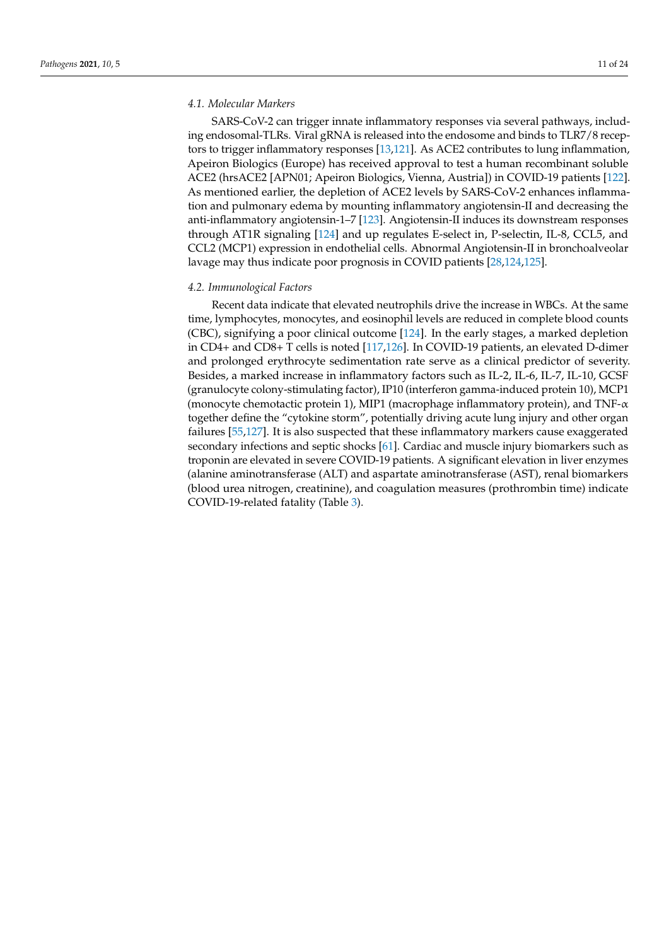#### *4.1. Molecular Markers*

SARS-CoV-2 can trigger innate inflammatory responses via several pathways, including endosomal-TLRs. Viral gRNA is released into the endosome and binds to TLR7/8 receptors to trigger inflammatory responses [13,121]. As ACE2 contributes to lung inflammation, Apeiron Biologics (Europe) has received approval to test a human recombinant soluble ACE2 (hrsACE2 [APN01; Apeiron Biologics, Vienna, Austria]) in COVID-19 patients [122]. As mentioned earlier, the depletion of ACE2 levels by SARS-CoV-2 enhances inflammation and pulmonary edema by mounting inflammatory angiotensin-II and decreasing the anti-inflammatory angiotensin-1–7 [123]. Angiotensin-II induces its downstream responses through AT1R signaling [124] and up regulates E-select in, P-selectin, IL-8, CCL5, and CCL2 (MCP1) expression in endothelial cells. Abnormal Angiotensin-II in bronchoalveolar lavage may thus indicate poor prognosis in COVID patients [28,124,125].

#### *4.2. Immunological Factors*

Recent data indicate that elevated neutrophils drive the increase in WBCs. At the same time, lymphocytes, monocytes, and eosinophil levels are reduced in complete blood counts (CBC), signifying a poor clinical outcome [124]. In the early stages, a marked depletion in CD4+ and CD8+ T cells is noted [117,126]. In COVID-19 patients, an elevated D-dimer and prolonged erythrocyte sedimentation rate serve as a clinical predictor of severity. Besides, a marked increase in inflammatory factors such as IL-2, IL-6, IL-7, IL-10, GCSF (granulocyte colony-stimulating factor), IP10 (interferon gamma-induced protein 10), MCP1 (monocyte chemotactic protein 1), MIP1 (macrophage inflammatory protein), and TNF-α together define the "cytokine storm", potentially driving acute lung injury and other organ failures [55,127]. It is also suspected that these inflammatory markers cause exaggerated secondary infections and septic shocks [61]. Cardiac and muscle injury biomarkers such as troponin are elevated in severe COVID-19 patients. A significant elevation in liver enzymes (alanine aminotransferase (ALT) and aspartate aminotransferase (AST), renal biomarkers (blood urea nitrogen, creatinine), and coagulation measures (prothrombin time) indicate COVID-19-related fatality (Table 3).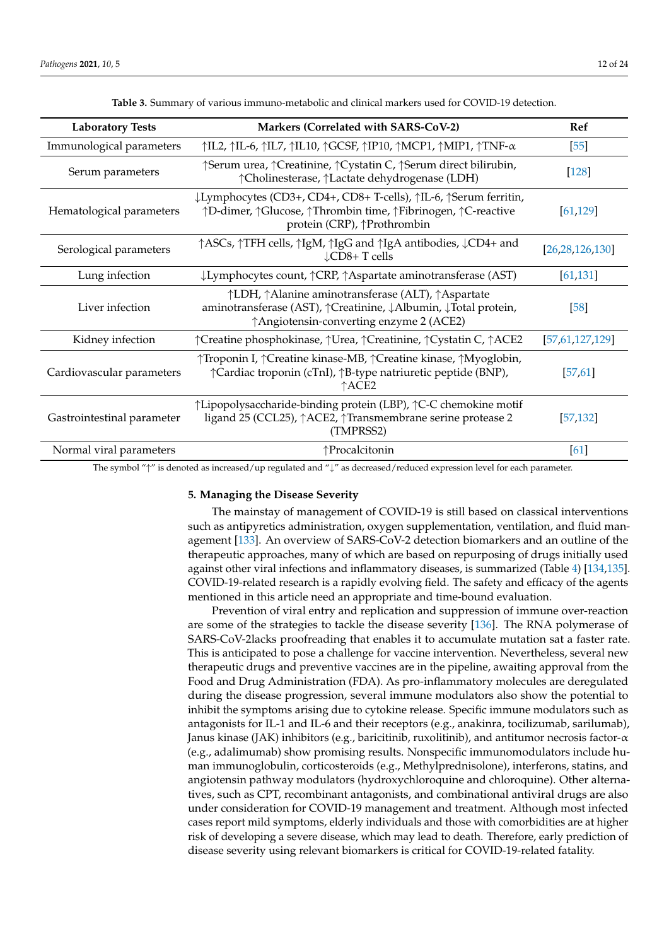| <b>Laboratory Tests</b>    | Markers (Correlated with SARS-CoV-2)                                                                                                                                                | <b>Ref</b>         |
|----------------------------|-------------------------------------------------------------------------------------------------------------------------------------------------------------------------------------|--------------------|
| Immunological parameters   | $\uparrow$ IL2, $\uparrow$ IL-6, $\uparrow$ IL7, $\uparrow$ IL10, $\uparrow$ GCSF, $\uparrow$ IP10, $\uparrow$ MCP1, $\uparrow$ MIP1, $\uparrow$ TNF- $\alpha$                      | [55]               |
| Serum parameters           | ↑Serum urea, ↑Creatinine, ↑Cystatin C, ↑Serum direct bilirubin,<br>↑ Cholinesterase, ↑ Lactate dehydrogenase (LDH)                                                                  | $[128]$            |
| Hematological parameters   | ↓Lymphocytes (CD3+, CD4+, CD8+ T-cells), $\uparrow$ IL-6, $\uparrow$ Serum ferritin,<br>↑D-dimer, ↑Glucose, ↑Thrombin time, ↑Fibrinogen, ↑C-reactive<br>protein (CRP), ↑Prothrombin | [61, 129]          |
| Serological parameters     | ↑ASCs, ↑TFH cells, ↑IgM, ↑IgG and ↑IgA antibodies, ↓CD4+ and<br>$\downarrow$ CD8+T cells                                                                                            | [26, 28, 126, 130] |
| Lung infection             | $\downarrow$ Lymphocytes count, $\uparrow$ CRP, $\uparrow$ Aspartate aminotransferase (AST)                                                                                         | [61, 131]          |
| Liver infection            | ↑LDH, ↑Alanine aminotransferase (ALT), ↑Aspartate<br>aminotransferase (AST), ↑ Creatinine, ↓ Albumin, ↓ Total protein,<br>↑ Angiotensin-converting enzyme 2 (ACE2)                  | $\sqrt{58}$        |
| Kidney infection           | ↑ Creatine phosphokinase, ↑ Urea, ↑ Creatinine, ↑ Cystatin C, ↑ ACE2                                                                                                                | [57,61,127,129]    |
| Cardiovascular parameters  | ↑Troponin I, ↑Creatine kinase-MB, ↑Creatine kinase, ↑Myoglobin,<br>↑ Cardiac troponin (cTnI), ↑B-type natriuretic peptide (BNP),<br>↑ACE2                                           | [57, 61]           |
| Gastrointestinal parameter | ↑Lipopolysaccharide-binding protein (LBP), ↑C-C chemokine motif<br>ligand 25 (CCL25), $\uparrow$ ACE2, $\uparrow$ Transmembrane serine protease 2<br>(TMPRSS2)                      | [57, 132]          |
| Normal viral parameters    | ↑Procalcitonin                                                                                                                                                                      | [61]               |

**Table 3.** Summary of various immuno-metabolic and clinical markers used for COVID-19 detection.

The symbol "↑" is denoted as increased/up regulated and "↓" as decreased/reduced expression level for each parameter.

### **5. Managing the Disease Severity**

The mainstay of management of COVID-19 is still based on classical interventions such as antipyretics administration, oxygen supplementation, ventilation, and fluid management [133]. An overview of SARS-CoV-2 detection biomarkers and an outline of the therapeutic approaches, many of which are based on repurposing of drugs initially used against other viral infections and inflammatory diseases, is summarized (Table 4) [134,135]. COVID-19-related research is a rapidly evolving field. The safety and efficacy of the agents mentioned in this article need an appropriate and time-bound evaluation.

Prevention of viral entry and replication and suppression of immune over-reaction are some of the strategies to tackle the disease severity [136]. The RNA polymerase of SARS-CoV-2lacks proofreading that enables it to accumulate mutation sat a faster rate. This is anticipated to pose a challenge for vaccine intervention. Nevertheless, several new therapeutic drugs and preventive vaccines are in the pipeline, awaiting approval from the Food and Drug Administration (FDA). As pro-inflammatory molecules are deregulated during the disease progression, several immune modulators also show the potential to inhibit the symptoms arising due to cytokine release. Specific immune modulators such as antagonists for IL-1 and IL-6 and their receptors (e.g., anakinra, tocilizumab, sarilumab), Janus kinase (JAK) inhibitors (e.g., baricitinib, ruxolitinib), and antitumor necrosis factor- $\alpha$ (e.g., adalimumab) show promising results. Nonspecific immunomodulators include human immunoglobulin, corticosteroids (e.g., Methylprednisolone), interferons, statins, and angiotensin pathway modulators (hydroxychloroquine and chloroquine). Other alternatives, such as CPT, recombinant antagonists, and combinational antiviral drugs are also under consideration for COVID-19 management and treatment. Although most infected cases report mild symptoms, elderly individuals and those with comorbidities are at higher risk of developing a severe disease, which may lead to death. Therefore, early prediction of disease severity using relevant biomarkers is critical for COVID-19-related fatality.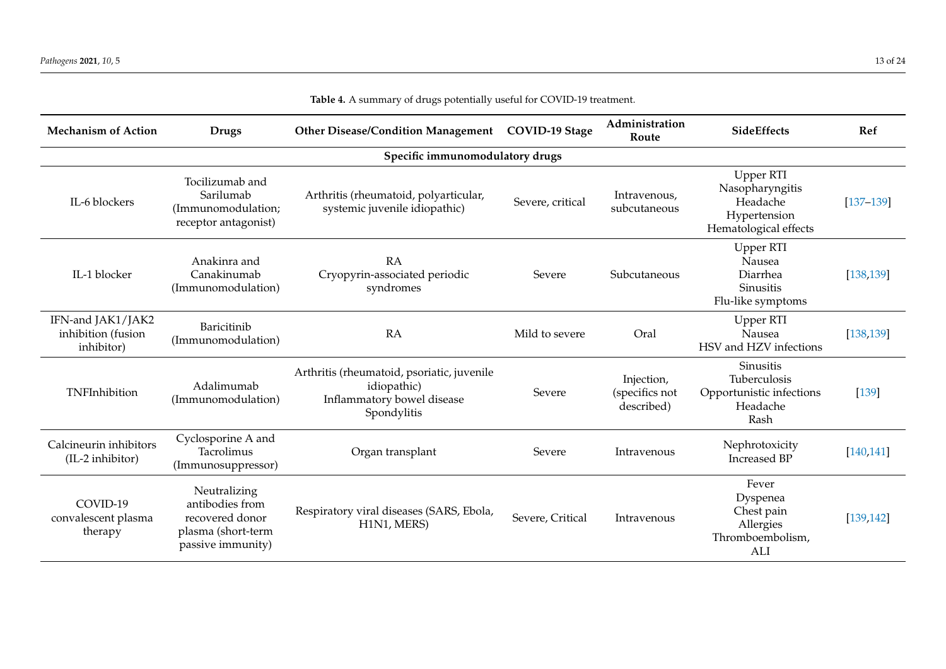| <b>Mechanism of Action</b>                            | <b>Drugs</b>                                                                                  | <b>Other Disease/Condition Management</b>                                                              | COVID-19 Stage   | Administration<br>Route                    | SideEffects                                                                              | Ref           |
|-------------------------------------------------------|-----------------------------------------------------------------------------------------------|--------------------------------------------------------------------------------------------------------|------------------|--------------------------------------------|------------------------------------------------------------------------------------------|---------------|
|                                                       |                                                                                               | Specific immunomodulatory drugs                                                                        |                  |                                            |                                                                                          |               |
| IL-6 blockers                                         | Tocilizumab and<br>Sarilumab<br>(Immunomodulation;<br>receptor antagonist)                    | Arthritis (rheumatoid, polyarticular,<br>systemic juvenile idiopathic)                                 | Severe, critical | Intravenous,<br>subcutaneous               | <b>Upper RTI</b><br>Nasopharyngitis<br>Headache<br>Hypertension<br>Hematological effects | $[137 - 139]$ |
| IL-1 blocker                                          | Anakinra and<br>Canakinumab<br>(Immunomodulation)                                             | RA<br>Cryopyrin-associated periodic<br>syndromes                                                       | Severe           | Subcutaneous                               | <b>Upper RTI</b><br>Nausea<br>Diarrhea<br>Sinusitis<br>Flu-like symptoms                 | [138, 139]    |
| IFN-and JAK1/JAK2<br>inhibition (fusion<br>inhibitor) | Baricitinib<br>(Immunomodulation)                                                             | <b>RA</b>                                                                                              | Mild to severe   | Oral                                       | Upper RTI<br>Nausea<br>HSV and HZV infections                                            | [138, 139]    |
| TNFInhibition                                         | Adalimumab<br>(Immunomodulation)                                                              | Arthritis (rheumatoid, psoriatic, juvenile<br>idiopathic)<br>Inflammatory bowel disease<br>Spondylitis | Severe           | Injection,<br>(specifics not<br>described) | Sinusitis<br>Tuberculosis<br>Opportunistic infections<br>Headache<br>Rash                | [139]         |
| Calcineurin inhibitors<br>(IL-2 inhibitor)            | Cyclosporine A and<br>Tacrolimus<br>(Immunosuppressor)                                        | Organ transplant                                                                                       | Severe           | Intravenous                                | Nephrotoxicity<br><b>Increased BP</b>                                                    | [140, 141]    |
| COVID-19<br>convalescent plasma<br>therapy            | Neutralizing<br>antibodies from<br>recovered donor<br>plasma (short-term<br>passive immunity) | Respiratory viral diseases (SARS, Ebola,<br>H1N1, MERS)                                                | Severe, Critical | Intravenous                                | Fever<br>Dyspenea<br>Chest pain<br>Allergies<br>Thromboembolism,<br>ALI                  | [139, 142]    |

## **Table 4.** A summary of drugs potentially useful for COVID-19 treatment.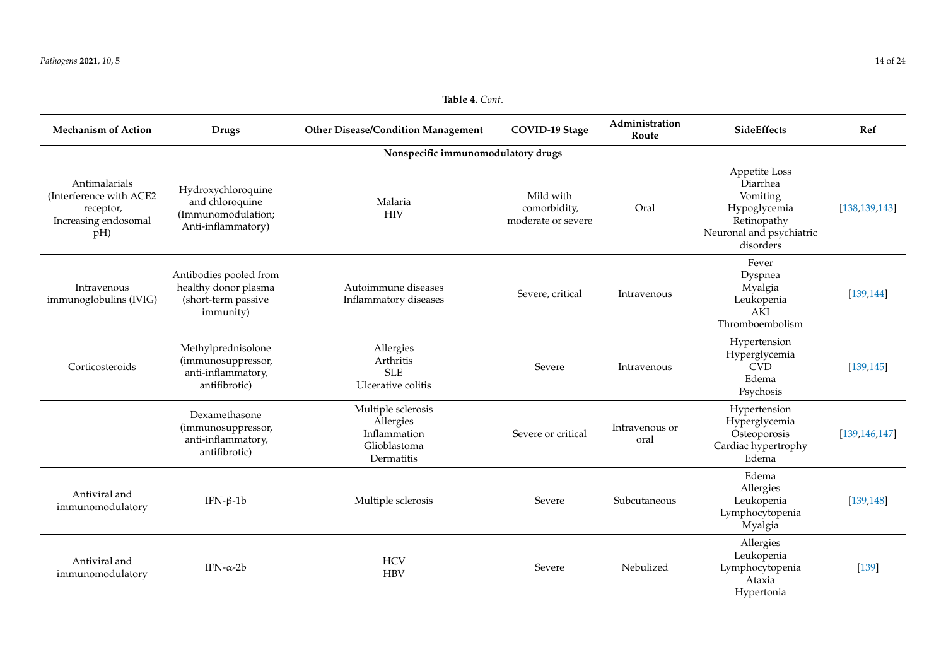| Table 4. Cont.                                                                       |                                                                                    |                                                                               |                                                 |                         |                                                                                                               |                 |
|--------------------------------------------------------------------------------------|------------------------------------------------------------------------------------|-------------------------------------------------------------------------------|-------------------------------------------------|-------------------------|---------------------------------------------------------------------------------------------------------------|-----------------|
| <b>Mechanism of Action</b>                                                           | <b>Drugs</b>                                                                       | <b>Other Disease/Condition Management</b>                                     | COVID-19 Stage                                  | Administration<br>Route | SideEffects                                                                                                   | Ref             |
|                                                                                      |                                                                                    | Nonspecific immunomodulatory drugs                                            |                                                 |                         |                                                                                                               |                 |
| Antimalarials<br>(Interference with ACE2<br>receptor,<br>Increasing endosomal<br>pH) | Hydroxychloroquine<br>and chloroquine<br>(Immunomodulation;<br>Anti-inflammatory)  | Malaria<br><b>HIV</b>                                                         | Mild with<br>comorbidity,<br>moderate or severe | Oral                    | Appetite Loss<br>Diarrhea<br>Vomiting<br>Hypoglycemia<br>Retinopathy<br>Neuronal and psychiatric<br>disorders | [138, 139, 143] |
| Intravenous<br>immunoglobulins (IVIG)                                                | Antibodies pooled from<br>healthy donor plasma<br>(short-term passive<br>immunity) | Autoimmune diseases<br>Inflammatory diseases                                  | Severe, critical                                | Intravenous             | Fever<br>Dyspnea<br>Myalgia<br>Leukopenia<br>AKI<br>Thromboembolism                                           | [139, 144]      |
| Corticosteroids                                                                      | Methylprednisolone<br>(immunosuppressor,<br>anti-inflammatory,<br>antifibrotic)    | Allergies<br>Arthritis<br><b>SLE</b><br>Ulcerative colitis                    | Severe                                          | Intravenous             | Hypertension<br>Hyperglycemia<br><b>CVD</b><br>Edema<br>Psychosis                                             | [139, 145]      |
|                                                                                      | Dexamethasone<br>(immunosuppressor,<br>anti-inflammatory,<br>antifibrotic)         | Multiple sclerosis<br>Allergies<br>Inflammation<br>Glioblastoma<br>Dermatitis | Severe or critical                              | Intravenous or<br>oral  | Hypertension<br>Hyperglycemia<br>Osteoporosis<br>Cardiac hypertrophy<br>Edema                                 | [139, 146, 147] |
| Antiviral and<br>immunomodulatory                                                    | IFN- $\beta$ -1b                                                                   | Multiple sclerosis                                                            | Severe                                          | Subcutaneous            | Edema<br>Allergies<br>Leukopenia<br>Lymphocytopenia<br>Myalgia                                                | [139, 148]      |
| Antiviral and<br>immunomodulatory                                                    | IFN- $\alpha$ -2b                                                                  | <b>HCV</b><br><b>HBV</b>                                                      | Severe                                          | Nebulized               | Allergies<br>Leukopenia<br>Lymphocytopenia<br>Ataxia<br>Hypertonia                                            | $[139]$         |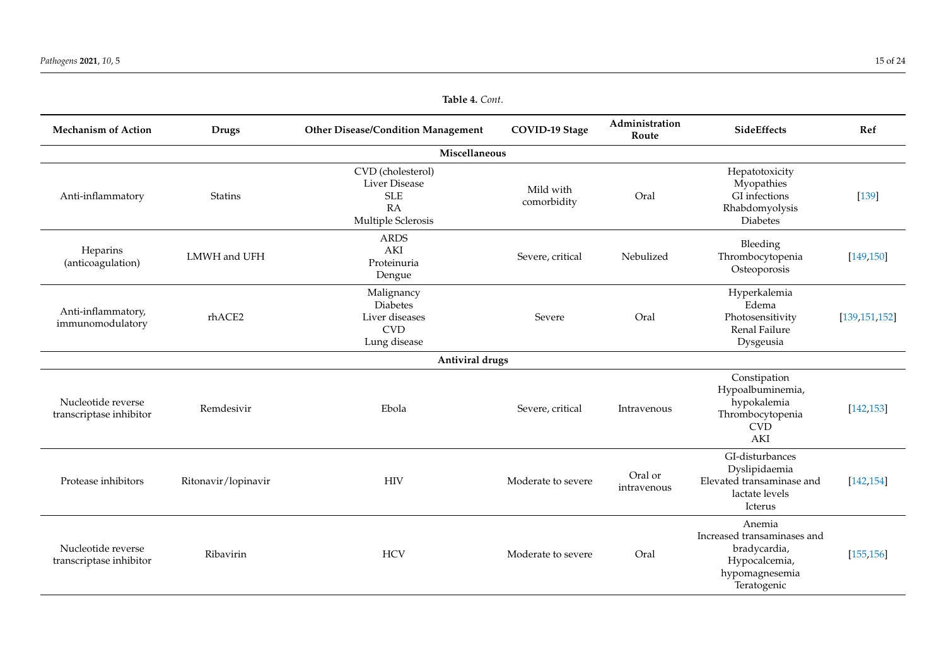| <b>Table 4. Cont.</b>                         |                     |                                                                               |                          |                         |                                                                                                           |                 |
|-----------------------------------------------|---------------------|-------------------------------------------------------------------------------|--------------------------|-------------------------|-----------------------------------------------------------------------------------------------------------|-----------------|
| <b>Mechanism of Action</b>                    | <b>Drugs</b>        | <b>Other Disease/Condition Management</b>                                     | COVID-19 Stage           | Administration<br>Route | <b>SideEffects</b>                                                                                        | Ref             |
|                                               |                     | Miscellaneous                                                                 |                          |                         |                                                                                                           |                 |
| Anti-inflammatory                             | <b>Statins</b>      | CVD (cholesterol)<br>Liver Disease<br><b>SLE</b><br>RA<br>Multiple Sclerosis  | Mild with<br>comorbidity | Oral                    | Hepatotoxicity<br>Myopathies<br>GI infections<br>Rhabdomyolysis<br>Diabetes                               | $[139]$         |
| Heparins<br>(anticoagulation)                 | LMWH and UFH        | <b>ARDS</b><br>AKI<br>Proteinuria<br>Dengue                                   | Severe, critical         | Nebulized               | Bleeding<br>Thrombocytopenia<br>Osteoporosis                                                              | [149, 150]      |
| Anti-inflammatory,<br>immunomodulatory        | rhACE2              | Malignancy<br><b>Diabetes</b><br>Liver diseases<br><b>CVD</b><br>Lung disease | Severe                   | Oral                    | Hyperkalemia<br>Edema<br>Photosensitivity<br>Renal Failure<br>Dysgeusia                                   | [139, 151, 152] |
|                                               |                     | Antiviral drugs                                                               |                          |                         |                                                                                                           |                 |
| Nucleotide reverse<br>transcriptase inhibitor | Remdesivir          | Ebola                                                                         | Severe, critical         | Intravenous             | Constipation<br>Hypoalbuminemia,<br>hypokalemia<br>Thrombocytopenia<br>$\ensuremath{\mathrm{CVD}}$<br>AKI | [142, 153]      |
| Protease inhibitors                           | Ritonavir/lopinavir | <b>HIV</b>                                                                    | Moderate to severe       | Oral or<br>intravenous  | GI-disturbances<br>Dyslipidaemia<br>Elevated transaminase and<br>lactate levels<br>Icterus                | [142, 154]      |
| Nucleotide reverse<br>transcriptase inhibitor | Ribavirin           | <b>HCV</b>                                                                    | Moderate to severe       | Oral                    | Anemia<br>Increased transaminases and<br>bradycardia,<br>Hypocalcemia,<br>hypomagnesemia<br>Teratogenic   | [155, 156]      |

### **Table 4.** *Cont*.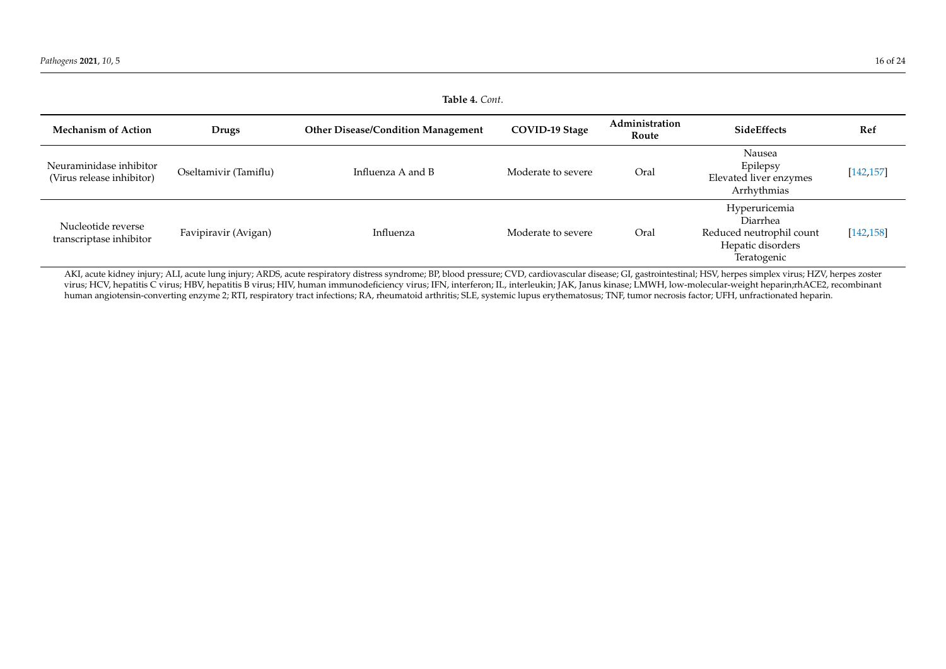| <b>Table 4.</b> Cont.                                |                       |                                           |                    |                         |                                                                                           |            |
|------------------------------------------------------|-----------------------|-------------------------------------------|--------------------|-------------------------|-------------------------------------------------------------------------------------------|------------|
| <b>Mechanism of Action</b>                           | Drugs                 | <b>Other Disease/Condition Management</b> | COVID-19 Stage     | Administration<br>Route | <b>SideEffects</b>                                                                        | Ref        |
| Neuraminidase inhibitor<br>(Virus release inhibitor) | Oseltamivir (Tamiflu) | Influenza A and B                         | Moderate to severe | Oral                    | Nausea<br>Epilepsy<br>Elevated liver enzymes<br>Arrhythmias                               | [142, 157] |
| Nucleotide reverse<br>transcriptase inhibitor        | Favipiravir (Avigan)  | Influenza                                 | Moderate to severe | Oral                    | Hyperuricemia<br>Diarrhea<br>Reduced neutrophil count<br>Hepatic disorders<br>Teratogenic | [142, 158] |

AKI, acute kidney injury; ALI, acute lung injury; ARDS, acute respiratory distress syndrome; BP, blood pressure; CVD, cardiovascular disease; GI, gastrointestinal; HSV, herpes simplex virus; HZV, herpes zoster virus; HCV, hepatitis C virus; HBV, hepatitis B virus; HIV, human immunodeficiency virus; IFN, interferon; IL, interleukin; JAK, Janus kinase; LMWH, low-molecular-weight heparin;rhACE2, recombinant human angiotensin-converting enzyme 2; RTI, respiratory tract infections; RA, rheumatoid arthritis; SLE, systemic lupus erythematosus; TNF, tumor necrosis factor; UFH, unfractionated heparin.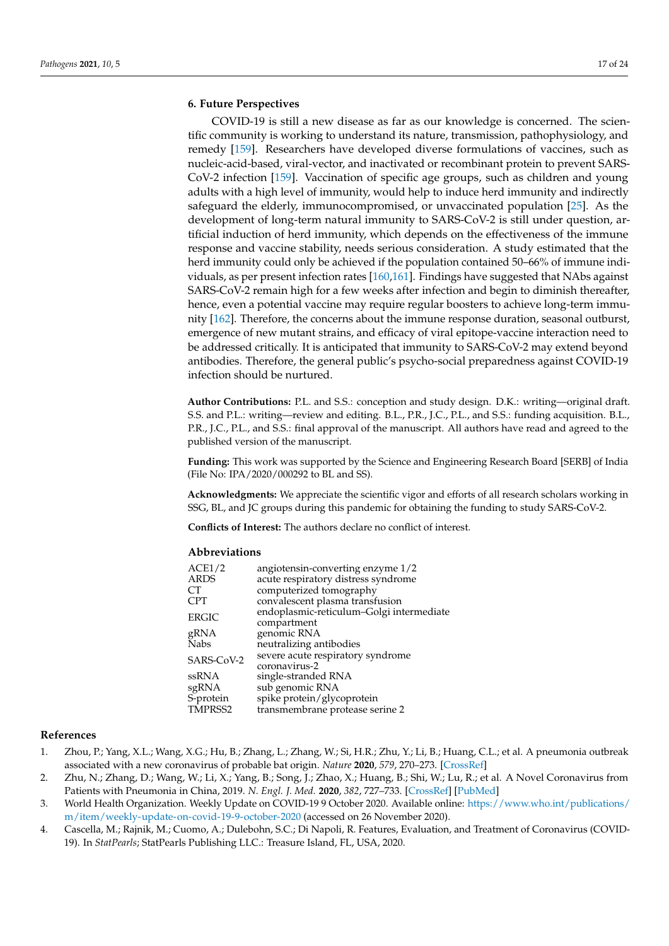#### **6. Future Perspectives**

COVID-19 is still a new disease as far as our knowledge is concerned. The scientific community is working to understand its nature, transmission, pathophysiology, and remedy [159]. Researchers have developed diverse formulations of vaccines, such as nucleic-acid-based, viral-vector, and inactivated or recombinant protein to prevent SARS-CoV-2 infection [159]. Vaccination of specific age groups, such as children and young adults with a high level of immunity, would help to induce herd immunity and indirectly safeguard the elderly, immunocompromised, or unvaccinated population [25]. As the development of long-term natural immunity to SARS-CoV-2 is still under question, artificial induction of herd immunity, which depends on the effectiveness of the immune response and vaccine stability, needs serious consideration. A study estimated that the herd immunity could only be achieved if the population contained 50–66% of immune individuals, as per present infection rates [160,161]. Findings have suggested that NAbs against SARS-CoV-2 remain high for a few weeks after infection and begin to diminish thereafter, hence, even a potential vaccine may require regular boosters to achieve long-term immunity [162]. Therefore, the concerns about the immune response duration, seasonal outburst, emergence of new mutant strains, and efficacy of viral epitope-vaccine interaction need to be addressed critically. It is anticipated that immunity to SARS-CoV-2 may extend beyond antibodies. Therefore, the general public's psycho-social preparedness against COVID-19 infection should be nurtured.

**Author Contributions:** P.L. and S.S.: conception and study design. D.K.: writing—original draft. S.S. and P.L.: writing—review and editing. B.L., P.R., J.C., P.L., and S.S.: funding acquisition. B.L., P.R., J.C., P.L., and S.S.: final approval of the manuscript. All authors have read and agreed to the published version of the manuscript.

**Funding:** This work was supported by the Science and Engineering Research Board [SERB] of India (File No: IPA/2020/000292 to BL and SS).

**Acknowledgments:** We appreciate the scientific vigor and efforts of all research scholars working in SSG, BL, and JC groups during this pandemic for obtaining the funding to study SARS-CoV-2.

**Conflicts of Interest:** The authors declare no conflict of interest.

#### **Abbreviations**

| ACE1/2       | angiotensin-converting enzyme 1/2                       |
|--------------|---------------------------------------------------------|
| <b>ARDS</b>  | acute respiratory distress syndrome                     |
| СT           | computerized tomography                                 |
| <b>CPT</b>   | convalescent plasma transfusion                         |
| <b>ERGIC</b> | endoplasmic-reticulum-Golgi intermediate<br>compartment |
| gRNA         | genomic RNA                                             |
| Nabs         | neutralizing antibodies                                 |
| SARS-CoV-2   | severe acute respiratory syndrome<br>coronavirus-2      |
| ssRNA        | single-stranded RNA                                     |
| sgRNA        | sub genomic RNA                                         |
| S-protein    | spike protein/glycoprotein                              |
| TMPRSS2      | transmembrane protease serine 2                         |
|              |                                                         |

#### **References**

- 1. Zhou, P.; Yang, X.L.; Wang, X.G.; Hu, B.; Zhang, L.; Zhang, W.; Si, H.R.; Zhu, Y.; Li, B.; Huang, C.L.; et al. A pneumonia outbreak associated with a new coronavirus of probable bat origin. *Nature* **2020**, *579*, 270–273. [CrossRef]
- 2. Zhu, N.; Zhang, D.; Wang, W.; Li, X.; Yang, B.; Song, J.; Zhao, X.; Huang, B.; Shi, W.; Lu, R.; et al. A Novel Coronavirus from Patients with Pneumonia in China, 2019. *N. Engl. J. Med.* **2020**, *382*, 727–733. [CrossRef] [PubMed]
- 3. World Health Organization. Weekly Update on COVID-19 9 October 2020. Available online: https://www.who.int/publications/ m/item/weekly-update-on-covid-19-9-october-2020 (accessed on 26 November 2020).
- 4. Cascella, M.; Rajnik, M.; Cuomo, A.; Dulebohn, S.C.; Di Napoli, R. Features, Evaluation, and Treatment of Coronavirus (COVID-19). In *StatPearls*; StatPearls Publishing LLC.: Treasure Island, FL, USA, 2020.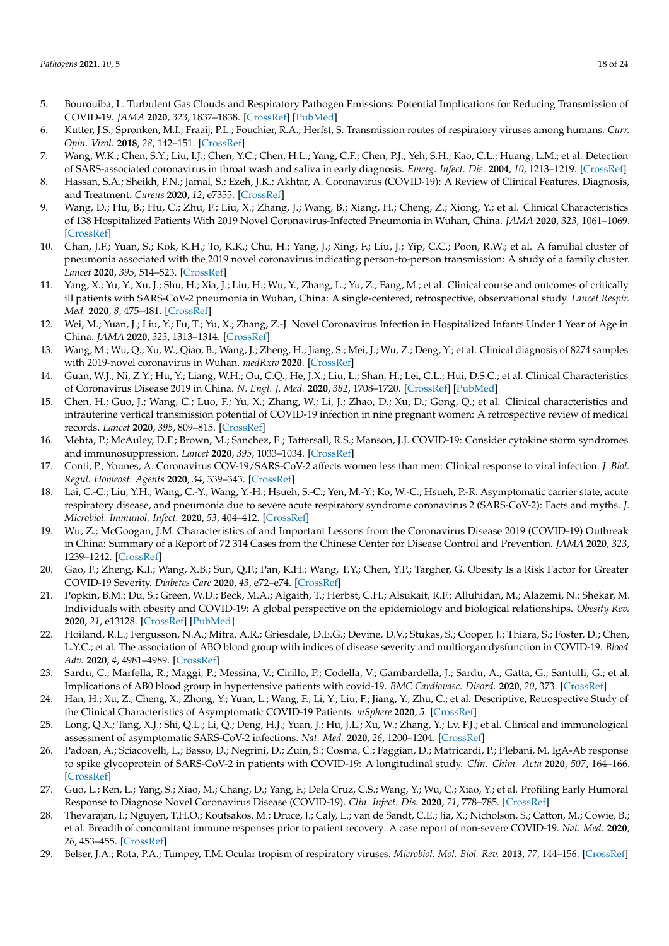- 5. Bourouiba, L. Turbulent Gas Clouds and Respiratory Pathogen Emissions: Potential Implications for Reducing Transmission of COVID-19. *JAMA* **2020**, *323*, 1837–1838. [CrossRef] [PubMed]
- 6. Kutter, J.S.; Spronken, M.I.; Fraaij, P.L.; Fouchier, R.A.; Herfst, S. Transmission routes of respiratory viruses among humans. *Curr. Opin. Virol.* **2018**, *28*, 142–151. [CrossRef]
- 7. Wang, W.K.; Chen, S.Y.; Liu, I.J.; Chen, Y.C.; Chen, H.L.; Yang, C.F.; Chen, P.J.; Yeh, S.H.; Kao, C.L.; Huang, L.M.; et al. Detection of SARS-associated coronavirus in throat wash and saliva in early diagnosis. *Emerg. Infect. Dis.* **2004**, *10*, 1213–1219. [CrossRef]
- 8. Hassan, S.A.; Sheikh, F.N.; Jamal, S.; Ezeh, J.K.; Akhtar, A. Coronavirus (COVID-19): A Review of Clinical Features, Diagnosis, and Treatment. *Cureus* **2020**, *12*, e7355. [CrossRef]
- 9. Wang, D.; Hu, B.; Hu, C.; Zhu, F.; Liu, X.; Zhang, J.; Wang, B.; Xiang, H.; Cheng, Z.; Xiong, Y.; et al. Clinical Characteristics of 138 Hospitalized Patients With 2019 Novel Coronavirus-Infected Pneumonia in Wuhan, China. *JAMA* **2020**, *323*, 1061–1069. [CrossRef]
- 10. Chan, J.F.; Yuan, S.; Kok, K.H.; To, K.K.; Chu, H.; Yang, J.; Xing, F.; Liu, J.; Yip, C.C.; Poon, R.W.; et al. A familial cluster of pneumonia associated with the 2019 novel coronavirus indicating person-to-person transmission: A study of a family cluster. *Lancet* **2020**, *395*, 514–523. [CrossRef]
- 11. Yang, X.; Yu, Y.; Xu, J.; Shu, H.; Xia, J.; Liu, H.; Wu, Y.; Zhang, L.; Yu, Z.; Fang, M.; et al. Clinical course and outcomes of critically ill patients with SARS-CoV-2 pneumonia in Wuhan, China: A single-centered, retrospective, observational study. *Lancet Respir. Med.* **2020**, *8*, 475–481. [CrossRef]
- 12. Wei, M.; Yuan, J.; Liu, Y.; Fu, T.; Yu, X.; Zhang, Z.-J. Novel Coronavirus Infection in Hospitalized Infants Under 1 Year of Age in China. *JAMA* **2020**, *323*, 1313–1314. [CrossRef]
- 13. Wang, M.; Wu, Q.; Xu, W.; Qiao, B.; Wang, J.; Zheng, H.; Jiang, S.; Mei, J.; Wu, Z.; Deng, Y.; et al. Clinical diagnosis of 8274 samples with 2019-novel coronavirus in Wuhan. *medRxiv* **2020**. [CrossRef]
- 14. Guan, W.J.; Ni, Z.Y.; Hu, Y.; Liang, W.H.; Ou, C.Q.; He, J.X.; Liu, L.; Shan, H.; Lei, C.L.; Hui, D.S.C.; et al. Clinical Characteristics of Coronavirus Disease 2019 in China. *N. Engl. J. Med.* **2020**, *382*, 1708–1720. [CrossRef] [PubMed]
- 15. Chen, H.; Guo, J.; Wang, C.; Luo, F.; Yu, X.; Zhang, W.; Li, J.; Zhao, D.; Xu, D.; Gong, Q.; et al. Clinical characteristics and intrauterine vertical transmission potential of COVID-19 infection in nine pregnant women: A retrospective review of medical records. *Lancet* **2020**, *395*, 809–815. [CrossRef]
- 16. Mehta, P.; McAuley, D.F.; Brown, M.; Sanchez, E.; Tattersall, R.S.; Manson, J.J. COVID-19: Consider cytokine storm syndromes and immunosuppression. *Lancet* **2020**, *395*, 1033–1034. [CrossRef]
- 17. Conti, P.; Younes, A. Coronavirus COV-19/SARS-CoV-2 affects women less than men: Clinical response to viral infection. *J. Biol. Regul. Homeost. Agents* **2020**, *34*, 339–343. [CrossRef]
- 18. Lai, C.-C.; Liu, Y.H.; Wang, C.-Y.; Wang, Y.-H.; Hsueh, S.-C.; Yen, M.-Y.; Ko, W.-C.; Hsueh, P.-R. Asymptomatic carrier state, acute respiratory disease, and pneumonia due to severe acute respiratory syndrome coronavirus 2 (SARS-CoV-2): Facts and myths. *J. Microbiol. Immunol. Infect.* **2020**, *53*, 404–412. [CrossRef]
- 19. Wu, Z.; McGoogan, J.M. Characteristics of and Important Lessons from the Coronavirus Disease 2019 (COVID-19) Outbreak in China: Summary of a Report of 72 314 Cases from the Chinese Center for Disease Control and Prevention. *JAMA* **2020**, *323*, 1239–1242. [CrossRef]
- 20. Gao, F.; Zheng, K.I.; Wang, X.B.; Sun, Q.F.; Pan, K.H.; Wang, T.Y.; Chen, Y.P.; Targher, G. Obesity Is a Risk Factor for Greater COVID-19 Severity. *Diabetes Care* **2020**, *43*, e72–e74. [CrossRef]
- 21. Popkin, B.M.; Du, S.; Green, W.D.; Beck, M.A.; Algaith, T.; Herbst, C.H.; Alsukait, R.F.; Alluhidan, M.; Alazemi, N.; Shekar, M. Individuals with obesity and COVID-19: A global perspective on the epidemiology and biological relationships. *Obesity Rev.* **2020**, *21*, e13128. [CrossRef] [PubMed]
- 22. Hoiland, R.L.; Fergusson, N.A.; Mitra, A.R.; Griesdale, D.E.G.; Devine, D.V.; Stukas, S.; Cooper, J.; Thiara, S.; Foster, D.; Chen, L.Y.C.; et al. The association of ABO blood group with indices of disease severity and multiorgan dysfunction in COVID-19. *Blood Adv.* **2020**, *4*, 4981–4989. [CrossRef]
- 23. Sardu, C.; Marfella, R.; Maggi, P.; Messina, V.; Cirillo, P.; Codella, V.; Gambardella, J.; Sardu, A.; Gatta, G.; Santulli, G.; et al. Implications of AB0 blood group in hypertensive patients with covid-19. *BMC Cardiovasc. Disord.* **2020**, *20*, 373. [CrossRef]
- 24. Han, H.; Xu, Z.; Cheng, X.; Zhong, Y.; Yuan, L.; Wang, F.; Li, Y.; Liu, F.; Jiang, Y.; Zhu, C.; et al. Descriptive, Retrospective Study of the Clinical Characteristics of Asymptomatic COVID-19 Patients. *mSphere* **2020**, *5*. [CrossRef]
- 25. Long, Q.X.; Tang, X.J.; Shi, Q.L.; Li, Q.; Deng, H.J.; Yuan, J.; Hu, J.L.; Xu, W.; Zhang, Y.; Lv, F.J.; et al. Clinical and immunological assessment of asymptomatic SARS-CoV-2 infections. *Nat. Med.* **2020**, *26*, 1200–1204. [CrossRef]
- 26. Padoan, A.; Sciacovelli, L.; Basso, D.; Negrini, D.; Zuin, S.; Cosma, C.; Faggian, D.; Matricardi, P.; Plebani, M. IgA-Ab response to spike glycoprotein of SARS-CoV-2 in patients with COVID-19: A longitudinal study. *Clin. Chim. Acta* **2020**, *507*, 164–166. [CrossRef]
- 27. Guo, L.; Ren, L.; Yang, S.; Xiao, M.; Chang, D.; Yang, F.; Dela Cruz, C.S.; Wang, Y.; Wu, C.; Xiao, Y.; et al. Profiling Early Humoral Response to Diagnose Novel Coronavirus Disease (COVID-19). *Clin. Infect. Dis.* **2020**, *71*, 778–785. [CrossRef]
- 28. Thevarajan, I.; Nguyen, T.H.O.; Koutsakos, M.; Druce, J.; Caly, L.; van de Sandt, C.E.; Jia, X.; Nicholson, S.; Catton, M.; Cowie, B.; et al. Breadth of concomitant immune responses prior to patient recovery: A case report of non-severe COVID-19. *Nat. Med.* **2020**, *26*, 453–455. [CrossRef]
- 29. Belser, J.A.; Rota, P.A.; Tumpey, T.M. Ocular tropism of respiratory viruses. *Microbiol. Mol. Biol. Rev.* **2013**, *77*, 144–156. [CrossRef]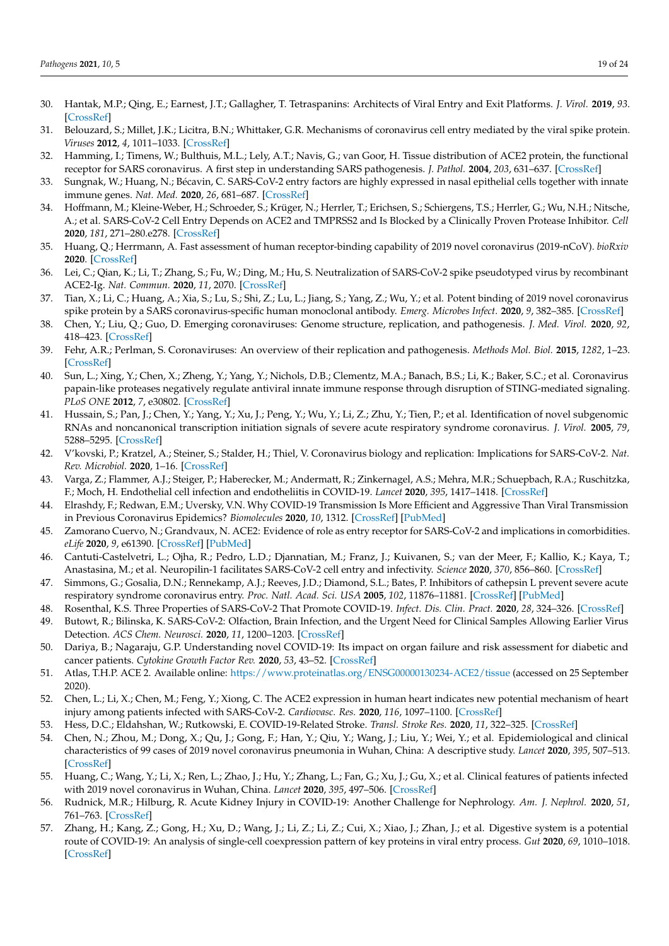- 30. Hantak, M.P.; Qing, E.; Earnest, J.T.; Gallagher, T. Tetraspanins: Architects of Viral Entry and Exit Platforms. *J. Virol.* **2019**, *93*. [CrossRef]
- 31. Belouzard, S.; Millet, J.K.; Licitra, B.N.; Whittaker, G.R. Mechanisms of coronavirus cell entry mediated by the viral spike protein. *Viruses* **2012**, *4*, 1011–1033. [CrossRef]
- 32. Hamming, I.; Timens, W.; Bulthuis, M.L.; Lely, A.T.; Navis, G.; van Goor, H. Tissue distribution of ACE2 protein, the functional receptor for SARS coronavirus. A first step in understanding SARS pathogenesis. *J. Pathol.* **2004**, *203*, 631–637. [CrossRef]
- 33. Sungnak, W.; Huang, N.; Bécavin, C. SARS-CoV-2 entry factors are highly expressed in nasal epithelial cells together with innate immune genes. *Nat. Med.* **2020**, *26*, 681–687. [CrossRef]
- 34. Hoffmann, M.; Kleine-Weber, H.; Schroeder, S.; Krüger, N.; Herrler, T.; Erichsen, S.; Schiergens, T.S.; Herrler, G.; Wu, N.H.; Nitsche, A.; et al. SARS-CoV-2 Cell Entry Depends on ACE2 and TMPRSS2 and Is Blocked by a Clinically Proven Protease Inhibitor. *Cell* **2020**, *181*, 271–280.e278. [CrossRef]
- 35. Huang, Q.; Herrmann, A. Fast assessment of human receptor-binding capability of 2019 novel coronavirus (2019-nCoV). *bioRxiv* **2020**. [CrossRef]
- 36. Lei, C.; Qian, K.; Li, T.; Zhang, S.; Fu, W.; Ding, M.; Hu, S. Neutralization of SARS-CoV-2 spike pseudotyped virus by recombinant ACE2-Ig. *Nat. Commun.* **2020**, *11*, 2070. [CrossRef]
- 37. Tian, X.; Li, C.; Huang, A.; Xia, S.; Lu, S.; Shi, Z.; Lu, L.; Jiang, S.; Yang, Z.; Wu, Y.; et al. Potent binding of 2019 novel coronavirus spike protein by a SARS coronavirus-specific human monoclonal antibody. *Emerg. Microbes Infect.* **2020**, *9*, 382–385. [CrossRef]
- 38. Chen, Y.; Liu, Q.; Guo, D. Emerging coronaviruses: Genome structure, replication, and pathogenesis. *J. Med. Virol.* **2020**, *92*, 418–423. [CrossRef]
- 39. Fehr, A.R.; Perlman, S. Coronaviruses: An overview of their replication and pathogenesis. *Methods Mol. Biol.* **2015**, *1282*, 1–23. [CrossRef]
- 40. Sun, L.; Xing, Y.; Chen, X.; Zheng, Y.; Yang, Y.; Nichols, D.B.; Clementz, M.A.; Banach, B.S.; Li, K.; Baker, S.C.; et al. Coronavirus papain-like proteases negatively regulate antiviral innate immune response through disruption of STING-mediated signaling. *PLoS ONE* **2012**, *7*, e30802. [CrossRef]
- 41. Hussain, S.; Pan, J.; Chen, Y.; Yang, Y.; Xu, J.; Peng, Y.; Wu, Y.; Li, Z.; Zhu, Y.; Tien, P.; et al. Identification of novel subgenomic RNAs and noncanonical transcription initiation signals of severe acute respiratory syndrome coronavirus. *J. Virol.* **2005**, *79*, 5288–5295. [CrossRef]
- 42. V'kovski, P.; Kratzel, A.; Steiner, S.; Stalder, H.; Thiel, V. Coronavirus biology and replication: Implications for SARS-CoV-2. *Nat. Rev. Microbiol.* **2020**, 1–16. [CrossRef]
- 43. Varga, Z.; Flammer, A.J.; Steiger, P.; Haberecker, M.; Andermatt, R.; Zinkernagel, A.S.; Mehra, M.R.; Schuepbach, R.A.; Ruschitzka, F.; Moch, H. Endothelial cell infection and endotheliitis in COVID-19. *Lancet* **2020**, *395*, 1417–1418. [CrossRef]
- 44. Elrashdy, F.; Redwan, E.M.; Uversky, V.N. Why COVID-19 Transmission Is More Efficient and Aggressive Than Viral Transmission in Previous Coronavirus Epidemics? *Biomolecules* **2020**, *10*, 1312. [CrossRef] [PubMed]
- 45. Zamorano Cuervo, N.; Grandvaux, N. ACE2: Evidence of role as entry receptor for SARS-CoV-2 and implications in comorbidities. *eLife* **2020**, *9*, e61390. [CrossRef] [PubMed]
- 46. Cantuti-Castelvetri, L.; Ojha, R.; Pedro, L.D.; Djannatian, M.; Franz, J.; Kuivanen, S.; van der Meer, F.; Kallio, K.; Kaya, T.; Anastasina, M.; et al. Neuropilin-1 facilitates SARS-CoV-2 cell entry and infectivity. *Science* **2020**, *370*, 856–860. [CrossRef]
- 47. Simmons, G.; Gosalia, D.N.; Rennekamp, A.J.; Reeves, J.D.; Diamond, S.L.; Bates, P. Inhibitors of cathepsin L prevent severe acute respiratory syndrome coronavirus entry. *Proc. Natl. Acad. Sci. USA* **2005**, *102*, 11876–11881. [CrossRef] [PubMed]
- 48. Rosenthal, K.S. Three Properties of SARS-CoV-2 That Promote COVID-19. *Infect. Dis. Clin. Pract.* **2020**, *28*, 324–326. [CrossRef]
- 49. Butowt, R.; Bilinska, K. SARS-CoV-2: Olfaction, Brain Infection, and the Urgent Need for Clinical Samples Allowing Earlier Virus Detection. *ACS Chem. Neurosci.* **2020**, *11*, 1200–1203. [CrossRef]
- 50. Dariya, B.; Nagaraju, G.P. Understanding novel COVID-19: Its impact on organ failure and risk assessment for diabetic and cancer patients. *Cytokine Growth Factor Rev.* **2020**, *53*, 43–52. [CrossRef]
- 51. Atlas, T.H.P. ACE 2. Available online: https://www.proteinatlas.org/ENSG00000130234-ACE2/tissue (accessed on 25 September 2020).
- 52. Chen, L.; Li, X.; Chen, M.; Feng, Y.; Xiong, C. The ACE2 expression in human heart indicates new potential mechanism of heart injury among patients infected with SARS-CoV-2. *Cardiovasc. Res.* **2020**, *116*, 1097–1100. [CrossRef]
- 53. Hess, D.C.; Eldahshan, W.; Rutkowski, E. COVID-19-Related Stroke. *Transl. Stroke Res.* **2020**, *11*, 322–325. [CrossRef]
- 54. Chen, N.; Zhou, M.; Dong, X.; Qu, J.; Gong, F.; Han, Y.; Qiu, Y.; Wang, J.; Liu, Y.; Wei, Y.; et al. Epidemiological and clinical characteristics of 99 cases of 2019 novel coronavirus pneumonia in Wuhan, China: A descriptive study. *Lancet* **2020**, *395*, 507–513. [CrossRef]
- 55. Huang, C.; Wang, Y.; Li, X.; Ren, L.; Zhao, J.; Hu, Y.; Zhang, L.; Fan, G.; Xu, J.; Gu, X.; et al. Clinical features of patients infected with 2019 novel coronavirus in Wuhan, China. *Lancet* **2020**, *395*, 497–506. [CrossRef]
- 56. Rudnick, M.R.; Hilburg, R. Acute Kidney Injury in COVID-19: Another Challenge for Nephrology. *Am. J. Nephrol.* **2020**, *51*, 761–763. [CrossRef]
- 57. Zhang, H.; Kang, Z.; Gong, H.; Xu, D.; Wang, J.; Li, Z.; Li, Z.; Cui, X.; Xiao, J.; Zhan, J.; et al. Digestive system is a potential route of COVID-19: An analysis of single-cell coexpression pattern of key proteins in viral entry process. *Gut* **2020**, *69*, 1010–1018. [CrossRef]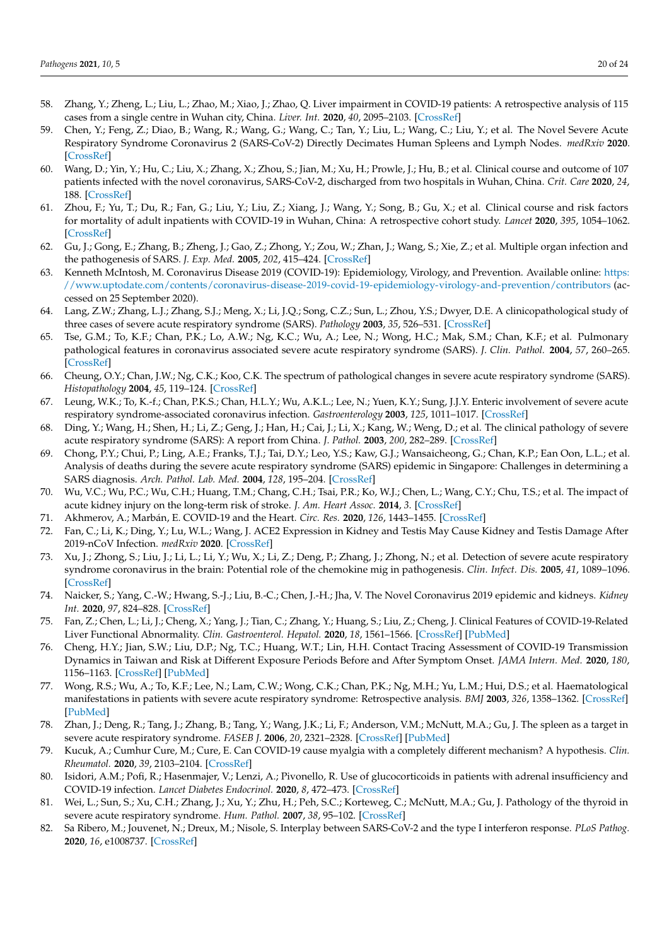- 58. Zhang, Y.; Zheng, L.; Liu, L.; Zhao, M.; Xiao, J.; Zhao, Q. Liver impairment in COVID-19 patients: A retrospective analysis of 115 cases from a single centre in Wuhan city, China. *Liver. Int.* **2020**, *40*, 2095–2103. [CrossRef]
- 59. Chen, Y.; Feng, Z.; Diao, B.; Wang, R.; Wang, G.; Wang, C.; Tan, Y.; Liu, L.; Wang, C.; Liu, Y.; et al. The Novel Severe Acute Respiratory Syndrome Coronavirus 2 (SARS-CoV-2) Directly Decimates Human Spleens and Lymph Nodes. *medRxiv* **2020**. [CrossRef]
- 60. Wang, D.; Yin, Y.; Hu, C.; Liu, X.; Zhang, X.; Zhou, S.; Jian, M.; Xu, H.; Prowle, J.; Hu, B.; et al. Clinical course and outcome of 107 patients infected with the novel coronavirus, SARS-CoV-2, discharged from two hospitals in Wuhan, China. *Crit. Care* **2020**, *24*, 188. [CrossRef]
- 61. Zhou, F.; Yu, T.; Du, R.; Fan, G.; Liu, Y.; Liu, Z.; Xiang, J.; Wang, Y.; Song, B.; Gu, X.; et al. Clinical course and risk factors for mortality of adult inpatients with COVID-19 in Wuhan, China: A retrospective cohort study. *Lancet* **2020**, *395*, 1054–1062. [CrossRef]
- 62. Gu, J.; Gong, E.; Zhang, B.; Zheng, J.; Gao, Z.; Zhong, Y.; Zou, W.; Zhan, J.; Wang, S.; Xie, Z.; et al. Multiple organ infection and the pathogenesis of SARS. *J. Exp. Med.* **2005**, *202*, 415–424. [CrossRef]
- 63. Kenneth McIntosh, M. Coronavirus Disease 2019 (COVID-19): Epidemiology, Virology, and Prevention. Available online: https: //www.uptodate.com/contents/coronavirus-disease-2019-covid-19-epidemiology-virology-and-prevention/contributors (accessed on 25 September 2020).
- 64. Lang, Z.W.; Zhang, L.J.; Zhang, S.J.; Meng, X.; Li, J.Q.; Song, C.Z.; Sun, L.; Zhou, Y.S.; Dwyer, D.E. A clinicopathological study of three cases of severe acute respiratory syndrome (SARS). *Pathology* **2003**, *35*, 526–531. [CrossRef]
- 65. Tse, G.M.; To, K.F.; Chan, P.K.; Lo, A.W.; Ng, K.C.; Wu, A.; Lee, N.; Wong, H.C.; Mak, S.M.; Chan, K.F.; et al. Pulmonary pathological features in coronavirus associated severe acute respiratory syndrome (SARS). *J. Clin. Pathol.* **2004**, *57*, 260–265. [CrossRef]
- 66. Cheung, O.Y.; Chan, J.W.; Ng, C.K.; Koo, C.K. The spectrum of pathological changes in severe acute respiratory syndrome (SARS). *Histopathology* **2004**, *45*, 119–124. [CrossRef]
- 67. Leung, W.K.; To, K.-f.; Chan, P.K.S.; Chan, H.L.Y.; Wu, A.K.L.; Lee, N.; Yuen, K.Y.; Sung, J.J.Y. Enteric involvement of severe acute respiratory syndrome-associated coronavirus infection. *Gastroenterology* **2003**, *125*, 1011–1017. [CrossRef]
- 68. Ding, Y.; Wang, H.; Shen, H.; Li, Z.; Geng, J.; Han, H.; Cai, J.; Li, X.; Kang, W.; Weng, D.; et al. The clinical pathology of severe acute respiratory syndrome (SARS): A report from China. *J. Pathol.* **2003**, *200*, 282–289. [CrossRef]
- 69. Chong, P.Y.; Chui, P.; Ling, A.E.; Franks, T.J.; Tai, D.Y.; Leo, Y.S.; Kaw, G.J.; Wansaicheong, G.; Chan, K.P.; Ean Oon, L.L.; et al. Analysis of deaths during the severe acute respiratory syndrome (SARS) epidemic in Singapore: Challenges in determining a SARS diagnosis. *Arch. Pathol. Lab. Med.* **2004**, *128*, 195–204. [CrossRef]
- 70. Wu, V.C.; Wu, P.C.; Wu, C.H.; Huang, T.M.; Chang, C.H.; Tsai, P.R.; Ko, W.J.; Chen, L.; Wang, C.Y.; Chu, T.S.; et al. The impact of acute kidney injury on the long-term risk of stroke. *J. Am. Heart Assoc.* **2014**, *3*. [CrossRef]
- 71. Akhmerov, A.; Marbán, E. COVID-19 and the Heart. *Circ. Res.* **2020**, *126*, 1443–1455. [CrossRef]
- 72. Fan, C.; Li, K.; Ding, Y.; Lu, W.L.; Wang, J. ACE2 Expression in Kidney and Testis May Cause Kidney and Testis Damage After 2019-nCoV Infection. *medRxiv* **2020**. [CrossRef]
- 73. Xu, J.; Zhong, S.; Liu, J.; Li, L.; Li, Y.; Wu, X.; Li, Z.; Deng, P.; Zhang, J.; Zhong, N.; et al. Detection of severe acute respiratory syndrome coronavirus in the brain: Potential role of the chemokine mig in pathogenesis. *Clin. Infect. Dis.* **2005**, *41*, 1089–1096. [CrossRef]
- 74. Naicker, S.; Yang, C.-W.; Hwang, S.-J.; Liu, B.-C.; Chen, J.-H.; Jha, V. The Novel Coronavirus 2019 epidemic and kidneys. *Kidney Int.* **2020**, *97*, 824–828. [CrossRef]
- 75. Fan, Z.; Chen, L.; Li, J.; Cheng, X.; Yang, J.; Tian, C.; Zhang, Y.; Huang, S.; Liu, Z.; Cheng, J. Clinical Features of COVID-19-Related Liver Functional Abnormality. *Clin. Gastroenterol. Hepatol.* **2020**, *18*, 1561–1566. [CrossRef] [PubMed]
- 76. Cheng, H.Y.; Jian, S.W.; Liu, D.P.; Ng, T.C.; Huang, W.T.; Lin, H.H. Contact Tracing Assessment of COVID-19 Transmission Dynamics in Taiwan and Risk at Different Exposure Periods Before and After Symptom Onset. *JAMA Intern. Med.* **2020**, *180*, 1156–1163. [CrossRef] [PubMed]
- 77. Wong, R.S.; Wu, A.; To, K.F.; Lee, N.; Lam, C.W.; Wong, C.K.; Chan, P.K.; Ng, M.H.; Yu, L.M.; Hui, D.S.; et al. Haematological manifestations in patients with severe acute respiratory syndrome: Retrospective analysis. *BMJ* **2003**, *326*, 1358–1362. [CrossRef] [PubMed]
- 78. Zhan, J.; Deng, R.; Tang, J.; Zhang, B.; Tang, Y.; Wang, J.K.; Li, F.; Anderson, V.M.; McNutt, M.A.; Gu, J. The spleen as a target in severe acute respiratory syndrome. *FASEB J.* **2006**, *20*, 2321–2328. [CrossRef] [PubMed]
- 79. Kucuk, A.; Cumhur Cure, M.; Cure, E. Can COVID-19 cause myalgia with a completely different mechanism? A hypothesis. *Clin. Rheumatol.* **2020**, *39*, 2103–2104. [CrossRef]
- 80. Isidori, A.M.; Pofi, R.; Hasenmajer, V.; Lenzi, A.; Pivonello, R. Use of glucocorticoids in patients with adrenal insufficiency and COVID-19 infection. *Lancet Diabetes Endocrinol.* **2020**, *8*, 472–473. [CrossRef]
- 81. Wei, L.; Sun, S.; Xu, C.H.; Zhang, J.; Xu, Y.; Zhu, H.; Peh, S.C.; Korteweg, C.; McNutt, M.A.; Gu, J. Pathology of the thyroid in severe acute respiratory syndrome. *Hum. Pathol.* **2007**, *38*, 95–102. [CrossRef]
- 82. Sa Ribero, M.; Jouvenet, N.; Dreux, M.; Nisole, S. Interplay between SARS-CoV-2 and the type I interferon response. *PLoS Pathog.* **2020**, *16*, e1008737. [CrossRef]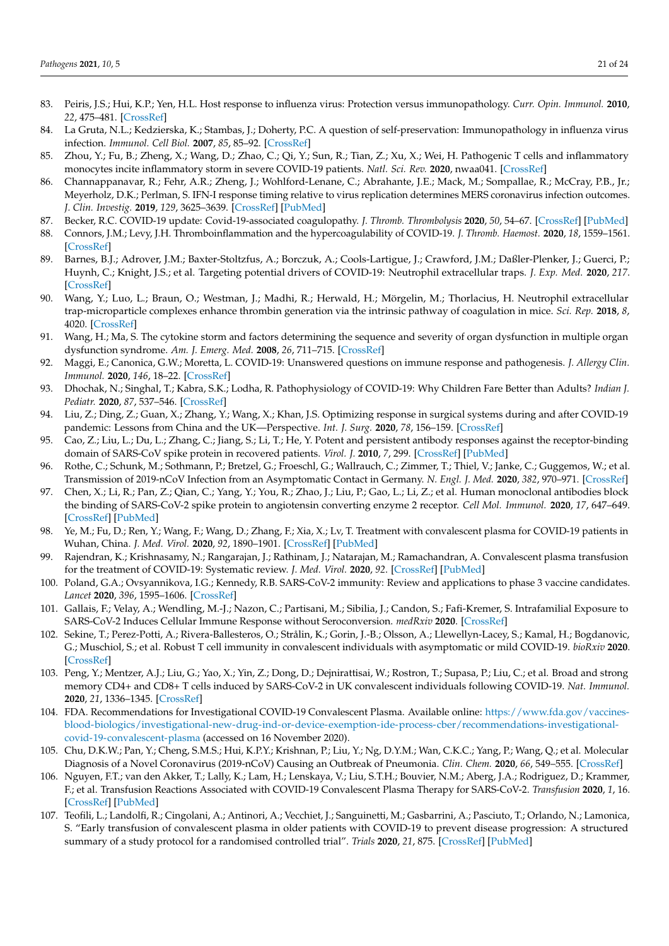- 83. Peiris, J.S.; Hui, K.P.; Yen, H.L. Host response to influenza virus: Protection versus immunopathology. *Curr. Opin. Immunol.* **2010**, *22*, 475–481. [CrossRef]
- 84. La Gruta, N.L.; Kedzierska, K.; Stambas, J.; Doherty, P.C. A question of self-preservation: Immunopathology in influenza virus infection. *Immunol. Cell Biol.* **2007**, *85*, 85–92. [CrossRef]
- 85. Zhou, Y.; Fu, B.; Zheng, X.; Wang, D.; Zhao, C.; Qi, Y.; Sun, R.; Tian, Z.; Xu, X.; Wei, H. Pathogenic T cells and inflammatory monocytes incite inflammatory storm in severe COVID-19 patients. *Natl. Sci. Rev.* **2020**, nwaa041. [CrossRef]
- 86. Channappanavar, R.; Fehr, A.R.; Zheng, J.; Wohlford-Lenane, C.; Abrahante, J.E.; Mack, M.; Sompallae, R.; McCray, P.B., Jr.; Meyerholz, D.K.; Perlman, S. IFN-I response timing relative to virus replication determines MERS coronavirus infection outcomes. *J. Clin. Investig.* **2019**, *129*, 3625–3639. [CrossRef] [PubMed]
- 87. Becker, R.C. COVID-19 update: Covid-19-associated coagulopathy. *J. Thromb. Thrombolysis* **2020**, *50*, 54–67. [CrossRef] [PubMed]
- 88. Connors, J.M.; Levy, J.H. Thromboinflammation and the hypercoagulability of COVID-19. *J. Thromb. Haemost.* **2020**, *18*, 1559–1561. [CrossRef]
- 89. Barnes, B.J.; Adrover, J.M.; Baxter-Stoltzfus, A.; Borczuk, A.; Cools-Lartigue, J.; Crawford, J.M.; Daßler-Plenker, J.; Guerci, P.; Huynh, C.; Knight, J.S.; et al. Targeting potential drivers of COVID-19: Neutrophil extracellular traps. *J. Exp. Med.* **2020**, *217*. [CrossRef]
- 90. Wang, Y.; Luo, L.; Braun, O.; Westman, J.; Madhi, R.; Herwald, H.; Mörgelin, M.; Thorlacius, H. Neutrophil extracellular trap-microparticle complexes enhance thrombin generation via the intrinsic pathway of coagulation in mice. *Sci. Rep.* **2018**, *8*, 4020. [CrossRef]
- 91. Wang, H.; Ma, S. The cytokine storm and factors determining the sequence and severity of organ dysfunction in multiple organ dysfunction syndrome. *Am. J. Emerg. Med.* **2008**, *26*, 711–715. [CrossRef]
- 92. Maggi, E.; Canonica, G.W.; Moretta, L. COVID-19: Unanswered questions on immune response and pathogenesis. *J. Allergy Clin. Immunol.* **2020**, *146*, 18–22. [CrossRef]
- 93. Dhochak, N.; Singhal, T.; Kabra, S.K.; Lodha, R. Pathophysiology of COVID-19: Why Children Fare Better than Adults? *Indian J. Pediatr.* **2020**, *87*, 537–546. [CrossRef]
- 94. Liu, Z.; Ding, Z.; Guan, X.; Zhang, Y.; Wang, X.; Khan, J.S. Optimizing response in surgical systems during and after COVID-19 pandemic: Lessons from China and the UK—Perspective. *Int. J. Surg.* **2020**, *78*, 156–159. [CrossRef]
- 95. Cao, Z.; Liu, L.; Du, L.; Zhang, C.; Jiang, S.; Li, T.; He, Y. Potent and persistent antibody responses against the receptor-binding domain of SARS-CoV spike protein in recovered patients. *Virol. J.* **2010**, *7*, 299. [CrossRef] [PubMed]
- 96. Rothe, C.; Schunk, M.; Sothmann, P.; Bretzel, G.; Froeschl, G.; Wallrauch, C.; Zimmer, T.; Thiel, V.; Janke, C.; Guggemos, W.; et al. Transmission of 2019-nCoV Infection from an Asymptomatic Contact in Germany. *N. Engl. J. Med.* **2020**, *382*, 970–971. [CrossRef]
- 97. Chen, X.; Li, R.; Pan, Z.; Qian, C.; Yang, Y.; You, R.; Zhao, J.; Liu, P.; Gao, L.; Li, Z.; et al. Human monoclonal antibodies block the binding of SARS-CoV-2 spike protein to angiotensin converting enzyme 2 receptor. *Cell Mol. Immunol.* **2020**, *17*, 647–649. [CrossRef] [PubMed]
- 98. Ye, M.; Fu, D.; Ren, Y.; Wang, F.; Wang, D.; Zhang, F.; Xia, X.; Lv, T. Treatment with convalescent plasma for COVID-19 patients in Wuhan, China. *J. Med. Virol.* **2020**, *92*, 1890–1901. [CrossRef] [PubMed]
- 99. Rajendran, K.; Krishnasamy, N.; Rangarajan, J.; Rathinam, J.; Natarajan, M.; Ramachandran, A. Convalescent plasma transfusion for the treatment of COVID-19: Systematic review. *J. Med. Virol.* **2020**, *92*. [CrossRef] [PubMed]
- 100. Poland, G.A.; Ovsyannikova, I.G.; Kennedy, R.B. SARS-CoV-2 immunity: Review and applications to phase 3 vaccine candidates. *Lancet* **2020**, *396*, 1595–1606. [CrossRef]
- 101. Gallais, F.; Velay, A.; Wendling, M.-J.; Nazon, C.; Partisani, M.; Sibilia, J.; Candon, S.; Fafi-Kremer, S. Intrafamilial Exposure to SARS-CoV-2 Induces Cellular Immune Response without Seroconversion. *medRxiv* **2020**. [CrossRef]
- 102. Sekine, T.; Perez-Potti, A.; Rivera-Ballesteros, O.; Strålin, K.; Gorin, J.-B.; Olsson, A.; Llewellyn-Lacey, S.; Kamal, H.; Bogdanovic, G.; Muschiol, S.; et al. Robust T cell immunity in convalescent individuals with asymptomatic or mild COVID-19. *bioRxiv* **2020**. [CrossRef]
- 103. Peng, Y.; Mentzer, A.J.; Liu, G.; Yao, X.; Yin, Z.; Dong, D.; Dejnirattisai, W.; Rostron, T.; Supasa, P.; Liu, C.; et al. Broad and strong memory CD4+ and CD8+ T cells induced by SARS-CoV-2 in UK convalescent individuals following COVID-19. *Nat. Immunol.* **2020**, *21*, 1336–1345. [CrossRef]
- 104. FDA. Recommendations for Investigational COVID-19 Convalescent Plasma. Available online: https://www.fda.gov/vaccinesblood-biologics/investigational-new-drug-ind-or-device-exemption-ide-process-cber/recommendations-investigationalcovid-19-convalescent-plasma (accessed on 16 November 2020).
- 105. Chu, D.K.W.; Pan, Y.; Cheng, S.M.S.; Hui, K.P.Y.; Krishnan, P.; Liu, Y.; Ng, D.Y.M.; Wan, C.K.C.; Yang, P.; Wang, Q.; et al. Molecular Diagnosis of a Novel Coronavirus (2019-nCoV) Causing an Outbreak of Pneumonia. *Clin. Chem.* **2020**, *66*, 549–555. [CrossRef]
- 106. Nguyen, F.T.; van den Akker, T.; Lally, K.; Lam, H.; Lenskaya, V.; Liu, S.T.H.; Bouvier, N.M.; Aberg, J.A.; Rodriguez, D.; Krammer, F.; et al. Transfusion Reactions Associated with COVID-19 Convalescent Plasma Therapy for SARS-CoV-2. *Transfusion* **2020**, *1*, 16. [CrossRef] [PubMed]
- 107. Teofili, L.; Landolfi, R.; Cingolani, A.; Antinori, A.; Vecchiet, J.; Sanguinetti, M.; Gasbarrini, A.; Pasciuto, T.; Orlando, N.; Lamonica, S. "Early transfusion of convalescent plasma in older patients with COVID-19 to prevent disease progression: A structured summary of a study protocol for a randomised controlled trial". *Trials* **2020**, *21*, 875. [CrossRef] [PubMed]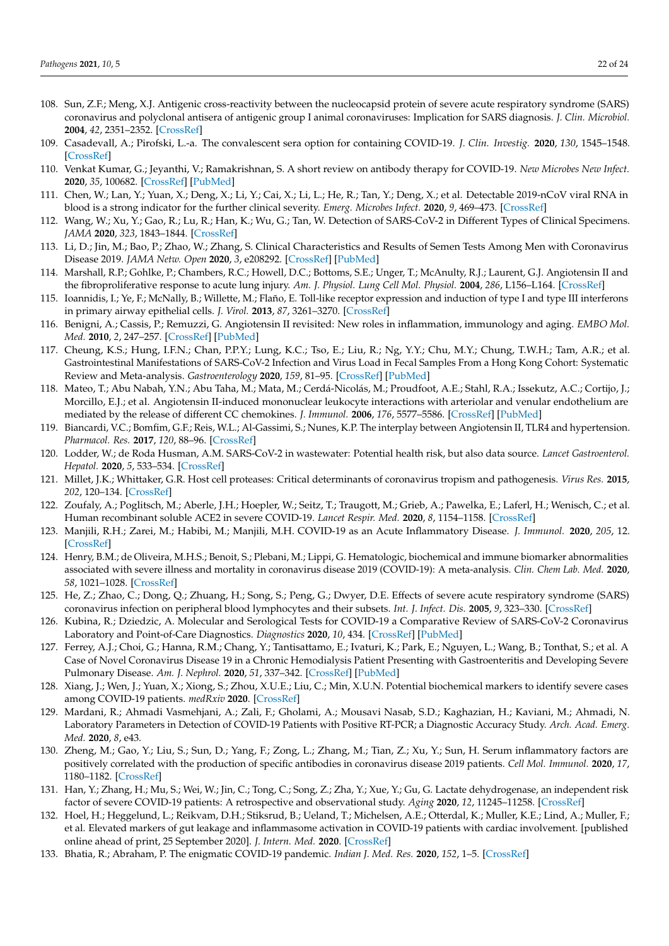- 108. Sun, Z.F.; Meng, X.J. Antigenic cross-reactivity between the nucleocapsid protein of severe acute respiratory syndrome (SARS) coronavirus and polyclonal antisera of antigenic group I animal coronaviruses: Implication for SARS diagnosis. *J. Clin. Microbiol.* **2004**, *42*, 2351–2352. [CrossRef]
- 109. Casadevall, A.; Pirofski, L.-a. The convalescent sera option for containing COVID-19. *J. Clin. Investig.* **2020**, *130*, 1545–1548. [CrossRef]
- 110. Venkat Kumar, G.; Jeyanthi, V.; Ramakrishnan, S. A short review on antibody therapy for COVID-19. *New Microbes New Infect.* **2020**, *35*, 100682. [CrossRef] [PubMed]
- 111. Chen, W.; Lan, Y.; Yuan, X.; Deng, X.; Li, Y.; Cai, X.; Li, L.; He, R.; Tan, Y.; Deng, X.; et al. Detectable 2019-nCoV viral RNA in blood is a strong indicator for the further clinical severity. *Emerg. Microbes Infect.* **2020**, *9*, 469–473. [CrossRef]
- 112. Wang, W.; Xu, Y.; Gao, R.; Lu, R.; Han, K.; Wu, G.; Tan, W. Detection of SARS-CoV-2 in Different Types of Clinical Specimens. *JAMA* **2020**, *323*, 1843–1844. [CrossRef]
- 113. Li, D.; Jin, M.; Bao, P.; Zhao, W.; Zhang, S. Clinical Characteristics and Results of Semen Tests Among Men with Coronavirus Disease 2019. *JAMA Netw. Open* **2020**, *3*, e208292. [CrossRef] [PubMed]
- 114. Marshall, R.P.; Gohlke, P.; Chambers, R.C.; Howell, D.C.; Bottoms, S.E.; Unger, T.; McAnulty, R.J.; Laurent, G.J. Angiotensin II and the fibroproliferative response to acute lung injury. *Am. J. Physiol. Lung Cell Mol. Physiol.* **2004**, *286*, L156–L164. [CrossRef]
- 115. Ioannidis, I.; Ye, F.; McNally, B.; Willette, M.; Flaño, E. Toll-like receptor expression and induction of type I and type III interferons in primary airway epithelial cells. *J. Virol.* **2013**, *87*, 3261–3270. [CrossRef]
- 116. Benigni, A.; Cassis, P.; Remuzzi, G. Angiotensin II revisited: New roles in inflammation, immunology and aging. *EMBO Mol. Med.* **2010**, *2*, 247–257. [CrossRef] [PubMed]
- 117. Cheung, K.S.; Hung, I.F.N.; Chan, P.P.Y.; Lung, K.C.; Tso, E.; Liu, R.; Ng, Y.Y.; Chu, M.Y.; Chung, T.W.H.; Tam, A.R.; et al. Gastrointestinal Manifestations of SARS-CoV-2 Infection and Virus Load in Fecal Samples From a Hong Kong Cohort: Systematic Review and Meta-analysis. *Gastroenterology* **2020**, *159*, 81–95. [CrossRef] [PubMed]
- 118. Mateo, T.; Abu Nabah, Y.N.; Abu Taha, M.; Mata, M.; Cerdá-Nicolás, M.; Proudfoot, A.E.; Stahl, R.A.; Issekutz, A.C.; Cortijo, J.; Morcillo, E.J.; et al. Angiotensin II-induced mononuclear leukocyte interactions with arteriolar and venular endothelium are mediated by the release of different CC chemokines. *J. Immunol.* **2006**, *176*, 5577–5586. [CrossRef] [PubMed]
- 119. Biancardi, V.C.; Bomfim, G.F.; Reis, W.L.; Al-Gassimi, S.; Nunes, K.P. The interplay between Angiotensin II, TLR4 and hypertension. *Pharmacol. Res.* **2017**, *120*, 88–96. [CrossRef]
- 120. Lodder, W.; de Roda Husman, A.M. SARS-CoV-2 in wastewater: Potential health risk, but also data source. *Lancet Gastroenterol. Hepatol.* **2020**, *5*, 533–534. [CrossRef]
- 121. Millet, J.K.; Whittaker, G.R. Host cell proteases: Critical determinants of coronavirus tropism and pathogenesis. *Virus Res.* **2015**, *202*, 120–134. [CrossRef]
- 122. Zoufaly, A.; Poglitsch, M.; Aberle, J.H.; Hoepler, W.; Seitz, T.; Traugott, M.; Grieb, A.; Pawelka, E.; Laferl, H.; Wenisch, C.; et al. Human recombinant soluble ACE2 in severe COVID-19. *Lancet Respir. Med.* **2020**, *8*, 1154–1158. [CrossRef]
- 123. Manjili, R.H.; Zarei, M.; Habibi, M.; Manjili, M.H. COVID-19 as an Acute Inflammatory Disease. *J. Immunol.* **2020**, *205*, 12. [CrossRef]
- 124. Henry, B.M.; de Oliveira, M.H.S.; Benoit, S.; Plebani, M.; Lippi, G. Hematologic, biochemical and immune biomarker abnormalities associated with severe illness and mortality in coronavirus disease 2019 (COVID-19): A meta-analysis. *Clin. Chem Lab. Med.* **2020**, *58*, 1021–1028. [CrossRef]
- 125. He, Z.; Zhao, C.; Dong, Q.; Zhuang, H.; Song, S.; Peng, G.; Dwyer, D.E. Effects of severe acute respiratory syndrome (SARS) coronavirus infection on peripheral blood lymphocytes and their subsets. *Int. J. Infect. Dis.* **2005**, *9*, 323–330. [CrossRef]
- 126. Kubina, R.; Dziedzic, A. Molecular and Serological Tests for COVID-19 a Comparative Review of SARS-CoV-2 Coronavirus Laboratory and Point-of-Care Diagnostics. *Diagnostics* **2020**, *10*, 434. [CrossRef] [PubMed]
- 127. Ferrey, A.J.; Choi, G.; Hanna, R.M.; Chang, Y.; Tantisattamo, E.; Ivaturi, K.; Park, E.; Nguyen, L.; Wang, B.; Tonthat, S.; et al. A Case of Novel Coronavirus Disease 19 in a Chronic Hemodialysis Patient Presenting with Gastroenteritis and Developing Severe Pulmonary Disease. *Am. J. Nephrol.* **2020**, *51*, 337–342. [CrossRef] [PubMed]
- 128. Xiang, J.; Wen, J.; Yuan, X.; Xiong, S.; Zhou, X.U.E.; Liu, C.; Min, X.U.N. Potential biochemical markers to identify severe cases among COVID-19 patients. *medRxiv* **2020**. [CrossRef]
- 129. Mardani, R.; Ahmadi Vasmehjani, A.; Zali, F.; Gholami, A.; Mousavi Nasab, S.D.; Kaghazian, H.; Kaviani, M.; Ahmadi, N. Laboratory Parameters in Detection of COVID-19 Patients with Positive RT-PCR; a Diagnostic Accuracy Study. *Arch. Acad. Emerg. Med.* **2020**, *8*, e43.
- 130. Zheng, M.; Gao, Y.; Liu, S.; Sun, D.; Yang, F.; Zong, L.; Zhang, M.; Tian, Z.; Xu, Y.; Sun, H. Serum inflammatory factors are positively correlated with the production of specific antibodies in coronavirus disease 2019 patients. *Cell Mol. Immunol.* **2020**, *17*, 1180–1182. [CrossRef]
- 131. Han, Y.; Zhang, H.; Mu, S.; Wei, W.; Jin, C.; Tong, C.; Song, Z.; Zha, Y.; Xue, Y.; Gu, G. Lactate dehydrogenase, an independent risk factor of severe COVID-19 patients: A retrospective and observational study. *Aging* **2020**, *12*, 11245–11258. [CrossRef]
- 132. Hoel, H.; Heggelund, L.; Reikvam, D.H.; Stiksrud, B.; Ueland, T.; Michelsen, A.E.; Otterdal, K.; Muller, K.E.; Lind, A.; Muller, F.; et al. Elevated markers of gut leakage and inflammasome activation in COVID-19 patients with cardiac involvement. [published online ahead of print, 25 September 2020]. *J. Intern. Med.* **2020**. [CrossRef]
- 133. Bhatia, R.; Abraham, P. The enigmatic COVID-19 pandemic. *Indian J. Med. Res.* **2020**, *152*, 1–5. [CrossRef]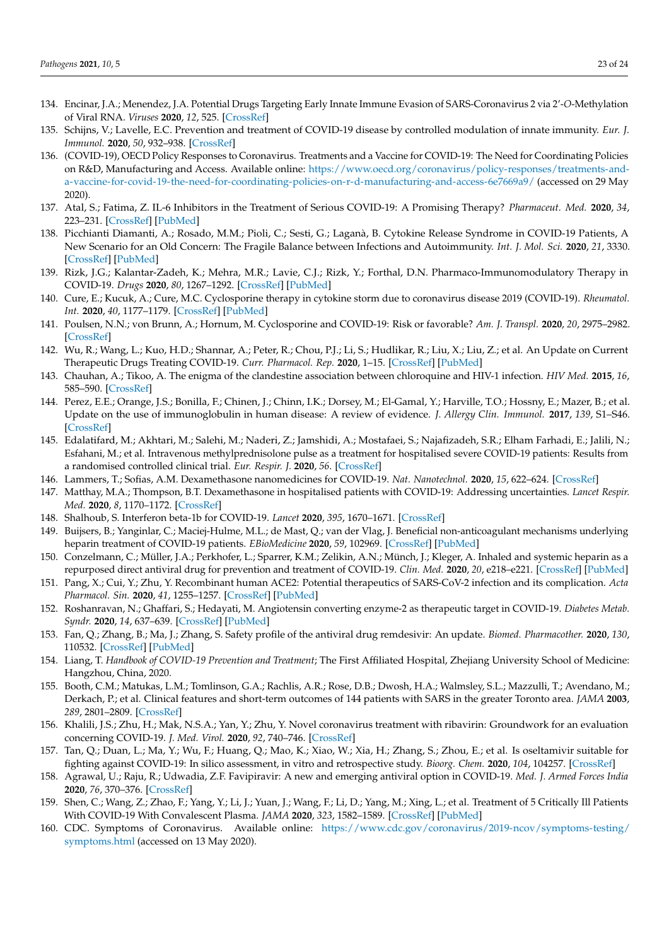- 134. Encinar, J.A.; Menendez, J.A. Potential Drugs Targeting Early Innate Immune Evasion of SARS-Coronavirus 2 via 2'-*O*-Methylation of Viral RNA. *Viruses* **2020**, *12*, 525. [CrossRef]
- 135. Schijns, V.; Lavelle, E.C. Prevention and treatment of COVID-19 disease by controlled modulation of innate immunity. *Eur. J. Immunol.* **2020**, *50*, 932–938. [CrossRef]
- 136. (COVID-19), OECD Policy Responses to Coronavirus. Treatments and a Vaccine for COVID-19: The Need for Coordinating Policies on R&D, Manufacturing and Access. Available online: https://www.oecd.org/coronavirus/policy-responses/treatments-anda-vaccine-for-covid-19-the-need-for-coordinating-policies-on-r-d-manufacturing-and-access-6e7669a9/ (accessed on 29 May 2020).
- 137. Atal, S.; Fatima, Z. IL-6 Inhibitors in the Treatment of Serious COVID-19: A Promising Therapy? *Pharmaceut. Med.* **2020**, *34*, 223–231. [CrossRef] [PubMed]
- 138. Picchianti Diamanti, A.; Rosado, M.M.; Pioli, C.; Sesti, G.; Laganà, B. Cytokine Release Syndrome in COVID-19 Patients, A New Scenario for an Old Concern: The Fragile Balance between Infections and Autoimmunity. *Int. J. Mol. Sci.* **2020**, *21*, 3330. [CrossRef] [PubMed]
- 139. Rizk, J.G.; Kalantar-Zadeh, K.; Mehra, M.R.; Lavie, C.J.; Rizk, Y.; Forthal, D.N. Pharmaco-Immunomodulatory Therapy in COVID-19. *Drugs* **2020**, *80*, 1267–1292. [CrossRef] [PubMed]
- 140. Cure, E.; Kucuk, A.; Cure, M.C. Cyclosporine therapy in cytokine storm due to coronavirus disease 2019 (COVID-19). *Rheumatol. Int.* **2020**, *40*, 1177–1179. [CrossRef] [PubMed]
- 141. Poulsen, N.N.; von Brunn, A.; Hornum, M. Cyclosporine and COVID-19: Risk or favorable? *Am. J. Transpl.* **2020**, *20*, 2975–2982. [CrossRef]
- 142. Wu, R.; Wang, L.; Kuo, H.D.; Shannar, A.; Peter, R.; Chou, P.J.; Li, S.; Hudlikar, R.; Liu, X.; Liu, Z.; et al. An Update on Current Therapeutic Drugs Treating COVID-19. *Curr. Pharmacol. Rep.* **2020**, 1–15. [CrossRef] [PubMed]
- 143. Chauhan, A.; Tikoo, A. The enigma of the clandestine association between chloroquine and HIV-1 infection. *HIV Med.* **2015**, *16*, 585–590. [CrossRef]
- 144. Perez, E.E.; Orange, J.S.; Bonilla, F.; Chinen, J.; Chinn, I.K.; Dorsey, M.; El-Gamal, Y.; Harville, T.O.; Hossny, E.; Mazer, B.; et al. Update on the use of immunoglobulin in human disease: A review of evidence. *J. Allergy Clin. Immunol.* **2017**, *139*, S1–S46. [CrossRef]
- 145. Edalatifard, M.; Akhtari, M.; Salehi, M.; Naderi, Z.; Jamshidi, A.; Mostafaei, S.; Najafizadeh, S.R.; Elham Farhadi, E.; Jalili, N.; Esfahani, M.; et al. Intravenous methylprednisolone pulse as a treatment for hospitalised severe COVID-19 patients: Results from a randomised controlled clinical trial. *Eur. Respir. J.* **2020**, *56*. [CrossRef]
- 146. Lammers, T.; Sofias, A.M. Dexamethasone nanomedicines for COVID-19. *Nat. Nanotechnol.* **2020**, *15*, 622–624. [CrossRef]
- 147. Matthay, M.A.; Thompson, B.T. Dexamethasone in hospitalised patients with COVID-19: Addressing uncertainties. *Lancet Respir. Med.* **2020**, *8*, 1170–1172. [CrossRef]
- 148. Shalhoub, S. Interferon beta-1b for COVID-19. *Lancet* **2020**, *395*, 1670–1671. [CrossRef]
- 149. Buijsers, B.; Yanginlar, C.; Maciej-Hulme, M.L.; de Mast, Q.; van der Vlag, J. Beneficial non-anticoagulant mechanisms underlying heparin treatment of COVID-19 patients. *EBioMedicine* **2020**, *59*, 102969. [CrossRef] [PubMed]
- 150. Conzelmann, C.; Müller, J.A.; Perkhofer, L.; Sparrer, K.M.; Zelikin, A.N.; Münch, J.; Kleger, A. Inhaled and systemic heparin as a repurposed direct antiviral drug for prevention and treatment of COVID-19. *Clin. Med.* **2020**, *20*, e218–e221. [CrossRef] [PubMed]
- 151. Pang, X.; Cui, Y.; Zhu, Y. Recombinant human ACE2: Potential therapeutics of SARS-CoV-2 infection and its complication. *Acta Pharmacol. Sin.* **2020**, *41*, 1255–1257. [CrossRef] [PubMed]
- 152. Roshanravan, N.; Ghaffari, S.; Hedayati, M. Angiotensin converting enzyme-2 as therapeutic target in COVID-19. *Diabetes Metab. Syndr.* **2020**, *14*, 637–639. [CrossRef] [PubMed]
- 153. Fan, Q.; Zhang, B.; Ma, J.; Zhang, S. Safety profile of the antiviral drug remdesivir: An update. *Biomed. Pharmacother.* **2020**, *130*, 110532. [CrossRef] [PubMed]
- 154. Liang, T. *Handbook of COVID-19 Prevention and Treatment*; The First Affiliated Hospital, Zhejiang University School of Medicine: Hangzhou, China, 2020.
- 155. Booth, C.M.; Matukas, L.M.; Tomlinson, G.A.; Rachlis, A.R.; Rose, D.B.; Dwosh, H.A.; Walmsley, S.L.; Mazzulli, T.; Avendano, M.; Derkach, P.; et al. Clinical features and short-term outcomes of 144 patients with SARS in the greater Toronto area. *JAMA* **2003**, *289*, 2801–2809. [CrossRef]
- 156. Khalili, J.S.; Zhu, H.; Mak, N.S.A.; Yan, Y.; Zhu, Y. Novel coronavirus treatment with ribavirin: Groundwork for an evaluation concerning COVID-19. *J. Med. Virol.* **2020**, *92*, 740–746. [CrossRef]
- 157. Tan, Q.; Duan, L.; Ma, Y.; Wu, F.; Huang, Q.; Mao, K.; Xiao, W.; Xia, H.; Zhang, S.; Zhou, E.; et al. Is oseltamivir suitable for fighting against COVID-19: In silico assessment, in vitro and retrospective study. *Bioorg. Chem.* **2020**, *104*, 104257. [CrossRef]
- 158. Agrawal, U.; Raju, R.; Udwadia, Z.F. Favipiravir: A new and emerging antiviral option in COVID-19. *Med. J. Armed Forces India* **2020**, *76*, 370–376. [CrossRef]
- 159. Shen, C.; Wang, Z.; Zhao, F.; Yang, Y.; Li, J.; Yuan, J.; Wang, F.; Li, D.; Yang, M.; Xing, L.; et al. Treatment of 5 Critically Ill Patients With COVID-19 With Convalescent Plasma. *JAMA* **2020**, *323*, 1582–1589. [CrossRef] [PubMed]
- 160. CDC. Symptoms of Coronavirus. Available online: https://www.cdc.gov/coronavirus/2019-ncov/symptoms-testing/ symptoms.html (accessed on 13 May 2020).